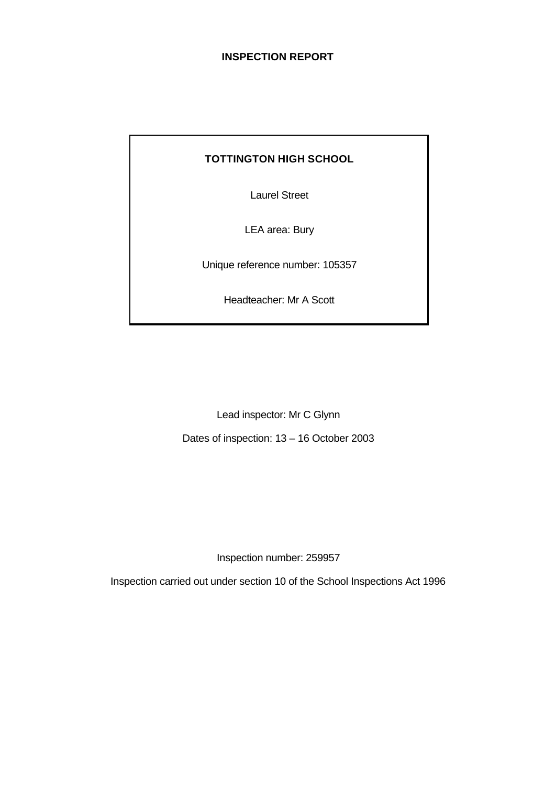# **INSPECTION REPORT**

# **TOTTINGTON HIGH SCHOOL**

Laurel Street

LEA area: Bury

Unique reference number: 105357

Headteacher: Mr A Scott

Lead inspector: Mr C Glynn

Dates of inspection: 13 – 16 October 2003

Inspection number: 259957

Inspection carried out under section 10 of the School Inspections Act 1996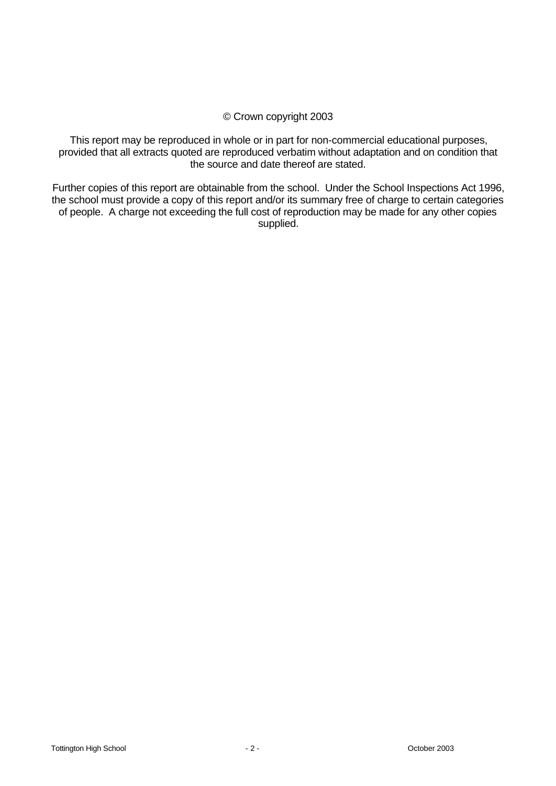# © Crown copyright 2003

This report may be reproduced in whole or in part for non-commercial educational purposes, provided that all extracts quoted are reproduced verbatim without adaptation and on condition that the source and date thereof are stated.

Further copies of this report are obtainable from the school. Under the School Inspections Act 1996, the school must provide a copy of this report and/or its summary free of charge to certain categories of people. A charge not exceeding the full cost of reproduction may be made for any other copies supplied.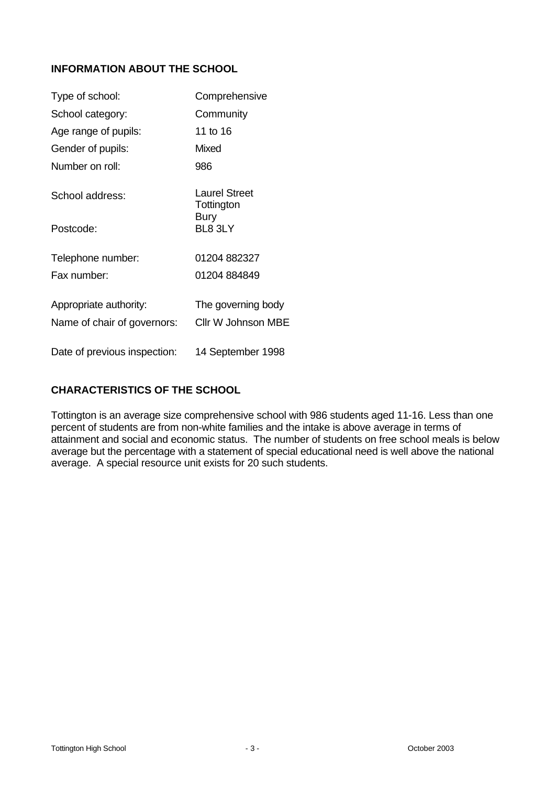# **INFORMATION ABOUT THE SCHOOL**

| Type of school:              | Comprehensive                      |
|------------------------------|------------------------------------|
| School category:             | Community                          |
| Age range of pupils:         | 11 to 16                           |
| Gender of pupils:            | Mixed                              |
| Number on roll:              | 986                                |
| School address:              | <b>Laurel Street</b><br>Tottington |
| Postcode:                    | <b>Bury</b><br>BL8 3LY             |
| Telephone number:            | 01204 882327                       |
| Fax number:                  | 01204 884849                       |
| Appropriate authority:       | The governing body                 |
| Name of chair of governors:  | <b>Cllr W Johnson MBE</b>          |
| Date of previous inspection: | 14 September 1998                  |

# **CHARACTERISTICS OF THE SCHOOL**

Tottington is an average size comprehensive school with 986 students aged 11-16. Less than one percent of students are from non-white families and the intake is above average in terms of attainment and social and economic status. The number of students on free school meals is below average but the percentage with a statement of special educational need is well above the national average. A special resource unit exists for 20 such students.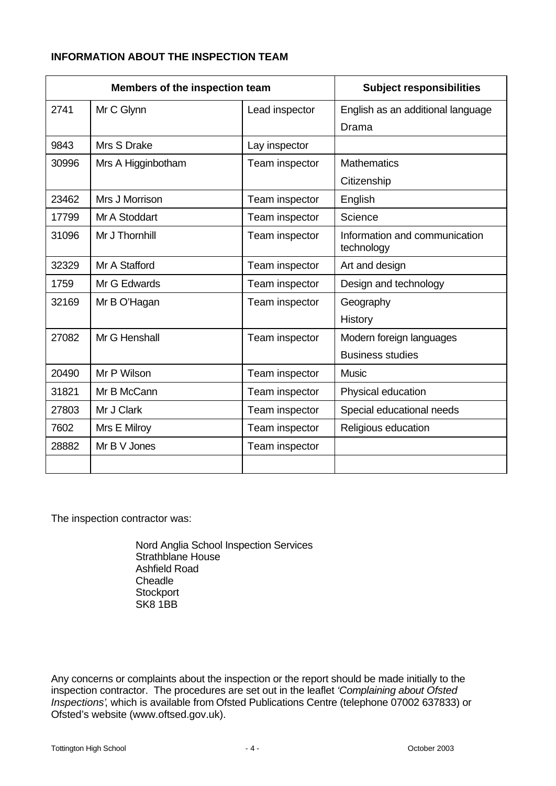# **INFORMATION ABOUT THE INSPECTION TEAM**

| Members of the inspection team |                    |                | <b>Subject responsibilities</b>             |
|--------------------------------|--------------------|----------------|---------------------------------------------|
| 2741                           | Mr C Glynn         | Lead inspector | English as an additional language           |
|                                |                    |                | Drama                                       |
| 9843                           | Mrs S Drake        | Lay inspector  |                                             |
| 30996                          | Mrs A Higginbotham | Team inspector | <b>Mathematics</b>                          |
|                                |                    |                | Citizenship                                 |
| 23462                          | Mrs J Morrison     | Team inspector | English                                     |
| 17799                          | Mr A Stoddart      | Team inspector | Science                                     |
| 31096                          | Mr J Thornhill     | Team inspector | Information and communication<br>technology |
| 32329                          | Mr A Stafford      | Team inspector | Art and design                              |
| 1759                           | Mr G Edwards       | Team inspector | Design and technology                       |
| 32169                          | Mr B O'Hagan       | Team inspector | Geography                                   |
|                                |                    |                | History                                     |
| 27082                          | Mr G Henshall      | Team inspector | Modern foreign languages                    |
|                                |                    |                | <b>Business studies</b>                     |
| 20490                          | Mr P Wilson        | Team inspector | <b>Music</b>                                |
| 31821                          | Mr B McCann        | Team inspector | Physical education                          |
| 27803                          | Mr J Clark         | Team inspector | Special educational needs                   |
| 7602                           | Mrs E Milroy       | Team inspector | Religious education                         |
| 28882                          | Mr B V Jones       | Team inspector |                                             |
|                                |                    |                |                                             |

The inspection contractor was:

Nord Anglia School Inspection Services Strathblane House Ashfield Road **Cheadle Stockport** SK8 1BB

Any concerns or complaints about the inspection or the report should be made initially to the inspection contractor. The procedures are set out in the leaflet *'Complaining about Ofsted Inspections'*, which is available from Ofsted Publications Centre (telephone 07002 637833) or Ofsted's website (www.oftsed.gov.uk).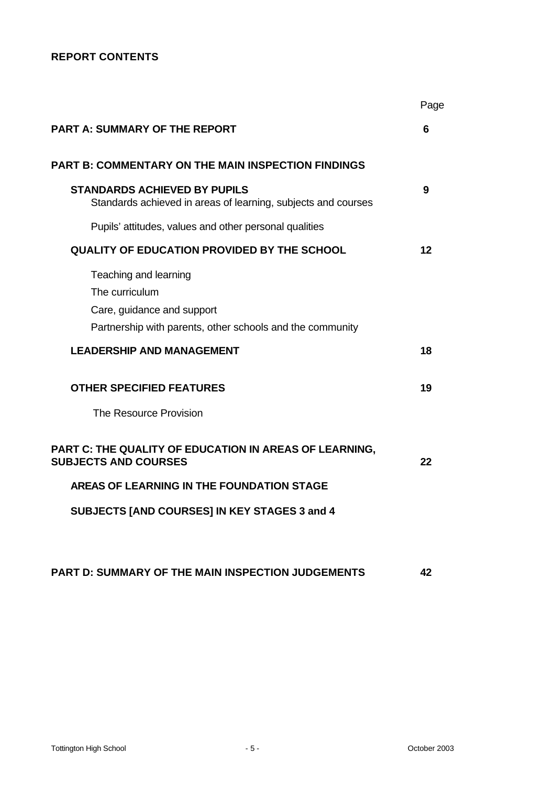# **REPORT CONTENTS**

|                                                                                                                                    | Page    |
|------------------------------------------------------------------------------------------------------------------------------------|---------|
| <b>PART A: SUMMARY OF THE REPORT</b>                                                                                               | 6       |
| <b>PART B: COMMENTARY ON THE MAIN INSPECTION FINDINGS</b>                                                                          |         |
| STANDARDS ACHIEVED BY PUPILS<br>Standards achieved in areas of learning, subjects and courses                                      | 9       |
| Pupils' attitudes, values and other personal qualities                                                                             |         |
| <b>QUALITY OF EDUCATION PROVIDED BY THE SCHOOL</b>                                                                                 | $12 \,$ |
| Teaching and learning<br>The curriculum<br>Care, guidance and support<br>Partnership with parents, other schools and the community |         |
| <b>LEADERSHIP AND MANAGEMENT</b>                                                                                                   | 18      |
| <b>OTHER SPECIFIED FEATURES</b>                                                                                                    | 19      |
| The Resource Provision                                                                                                             |         |
| PART C: THE QUALITY OF EDUCATION IN AREAS OF LEARNING,<br><b>SUBJECTS AND COURSES</b>                                              | 22      |
| AREAS OF LEARNING IN THE FOUNDATION STAGE                                                                                          |         |
| SUBJECTS [AND COURSES] IN KEY STAGES 3 and 4                                                                                       |         |
|                                                                                                                                    |         |
| <b>PART D: SUMMARY OF THE MAIN INSPECTION JUDGEMENTS</b>                                                                           | 42      |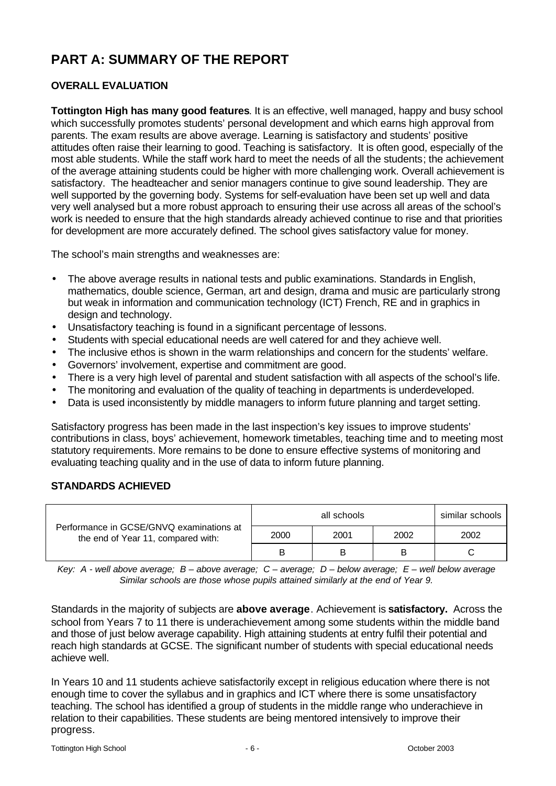# **PART A: SUMMARY OF THE REPORT**

# **OVERALL EVALUATION**

**Tottington High has many good features**. It is an effective, well managed, happy and busy school which successfully promotes students' personal development and which earns high approval from parents. The exam results are above average. Learning is satisfactory and students' positive attitudes often raise their learning to good. Teaching is satisfactory. It is often good, especially of the most able students. While the staff work hard to meet the needs of all the students; the achievement of the average attaining students could be higher with more challenging work. Overall achievement is satisfactory. The headteacher and senior managers continue to give sound leadership. They are well supported by the governing body. Systems for self-evaluation have been set up well and data very well analysed but a more robust approach to ensuring their use across all areas of the school's work is needed to ensure that the high standards already achieved continue to rise and that priorities for development are more accurately defined. The school gives satisfactory value for money.

The school's main strengths and weaknesses are:

- The above average results in national tests and public examinations. Standards in English, mathematics, double science, German, art and design, drama and music are particularly strong but weak in information and communication technology (ICT) French, RE and in graphics in design and technology.
- Unsatisfactory teaching is found in a significant percentage of lessons.
- Students with special educational needs are well catered for and they achieve well.
- The inclusive ethos is shown in the warm relationships and concern for the students' welfare.
- Governors' involvement, expertise and commitment are good.
- There is a very high level of parental and student satisfaction with all aspects of the school's life.
- The monitoring and evaluation of the quality of teaching in departments is underdeveloped.
- Data is used inconsistently by middle managers to inform future planning and target setting.

Satisfactory progress has been made in the last inspection's key issues to improve students' contributions in class, boys' achievement, homework timetables, teaching time and to meeting most statutory requirements. More remains to be done to ensure effective systems of monitoring and evaluating teaching quality and in the use of data to inform future planning.

# **STANDARDS ACHIEVED**

| Performance in GCSE/GNVQ examinations at<br>the end of Year 11, compared with: | similar schools<br>all schools |      |      |      |  |  |
|--------------------------------------------------------------------------------|--------------------------------|------|------|------|--|--|
|                                                                                | 2000                           | 2001 | 2002 | 2002 |  |  |
|                                                                                | B                              | B    |      |      |  |  |

*Key: A - well above average; B – above average; C – average; D – below average; E – well below average Similar schools are those whose pupils attained similarly at the end of Year 9.*

Standards in the majority of subjects are **above average**. Achievement is **satisfactory.** Across the school from Years 7 to 11 there is underachievement among some students within the middle band and those of just below average capability. High attaining students at entry fulfil their potential and reach high standards at GCSE. The significant number of students with special educational needs achieve well.

In Years 10 and 11 students achieve satisfactorily except in religious education where there is not enough time to cover the syllabus and in graphics and ICT where there is some unsatisfactory teaching. The school has identified a group of students in the middle range who underachieve in relation to their capabilities. These students are being mentored intensively to improve their progress.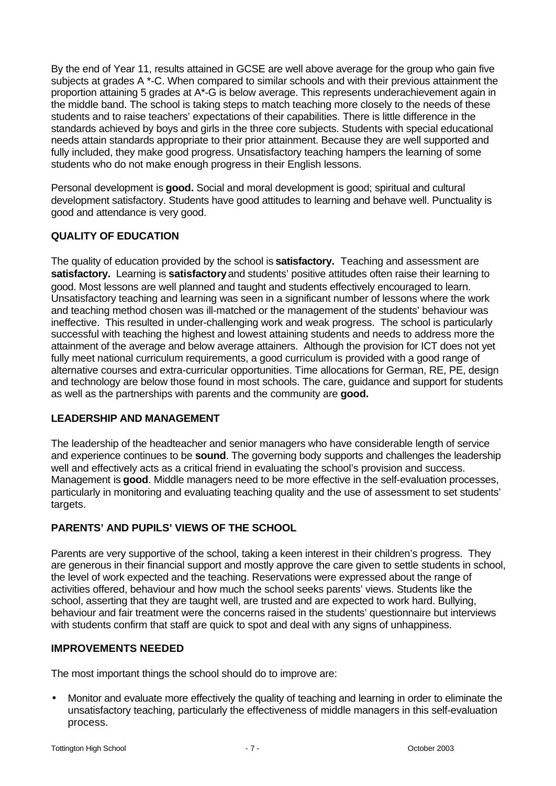By the end of Year 11, results attained in GCSE are well above average for the group who gain five subjects at grades A \*-C. When compared to similar schools and with their previous attainment the proportion attaining 5 grades at A\*-G is below average. This represents underachievement again in the middle band. The school is taking steps to match teaching more closely to the needs of these students and to raise teachers' expectations of their capabilities. There is little difference in the standards achieved by boys and girls in the three core subjects. Students with special educational needs attain standards appropriate to their prior attainment. Because they are well supported and fully included, they make good progress. Unsatisfactory teaching hampers the learning of some students who do not make enough progress in their English lessons.

Personal development is **good.** Social and moral development is good; spiritual and cultural development satisfactory. Students have good attitudes to learning and behave well. Punctuality is good and attendance is very good.

# **QUALITY OF EDUCATION**

The quality of education provided by the school is **satisfactory.** Teaching and assessment are **satisfactory.** Learning is **satisfactory** and students' positive attitudes often raise their learning to good. Most lessons are well planned and taught and students effectively encouraged to learn. Unsatisfactory teaching and learning was seen in a significant number of lessons where the work and teaching method chosen was ill-matched or the management of the students' behaviour was ineffective. This resulted in under-challenging work and weak progress. The school is particularly successful with teaching the highest and lowest attaining students and needs to address more the attainment of the average and below average attainers. Although the provision for ICT does not yet fully meet national curriculum requirements, a good curriculum is provided with a good range of alternative courses and extra-curricular opportunities. Time allocations for German, RE, PE, design and technology are below those found in most schools. The care, guidance and support for students as well as the partnerships with parents and the community are **good.**

#### **LEADERSHIP AND MANAGEMENT**

The leadership of the headteacher and senior managers who have considerable length of service and experience continues to be **sound**. The governing body supports and challenges the leadership well and effectively acts as a critical friend in evaluating the school's provision and success. Management is **good**. Middle managers need to be more effective in the self-evaluation processes, particularly in monitoring and evaluating teaching quality and the use of assessment to set students' targets.

# **PARENTS' AND PUPILS' VIEWS OF THE SCHOOL**

Parents are very supportive of the school, taking a keen interest in their children's progress. They are generous in their financial support and mostly approve the care given to settle students in school, the level of work expected and the teaching. Reservations were expressed about the range of activities offered, behaviour and how much the school seeks parents' views. Students like the school, asserting that they are taught well, are trusted and are expected to work hard. Bullying, behaviour and fair treatment were the concerns raised in the students' questionnaire but interviews with students confirm that staff are quick to spot and deal with any signs of unhappiness.

#### **IMPROVEMENTS NEEDED**

The most important things the school should do to improve are:

• Monitor and evaluate more effectively the quality of teaching and learning in order to eliminate the unsatisfactory teaching, particularly the effectiveness of middle managers in this self-evaluation process.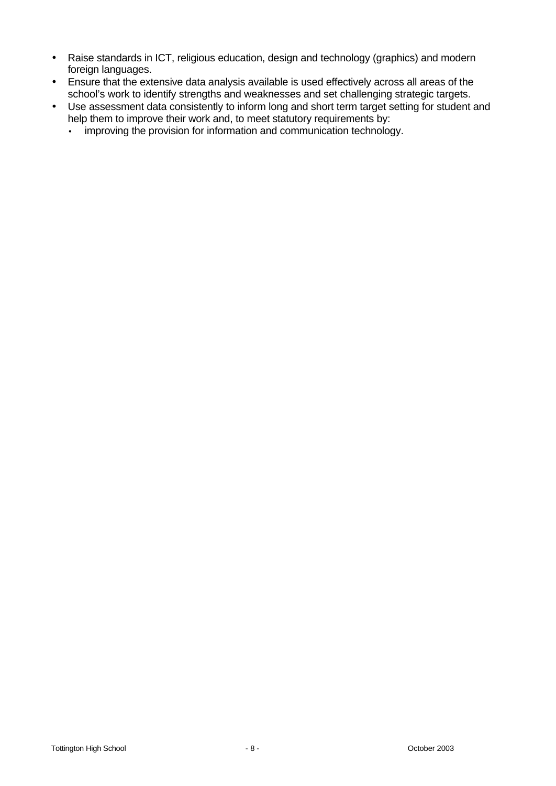- Raise standards in ICT, religious education, design and technology (graphics) and modern foreign languages.
- Ensure that the extensive data analysis available is used effectively across all areas of the school's work to identify strengths and weaknesses and set challenging strategic targets.
- Use assessment data consistently to inform long and short term target setting for student and help them to improve their work and, to meet statutory requirements by:
	- improving the provision for information and communication technology.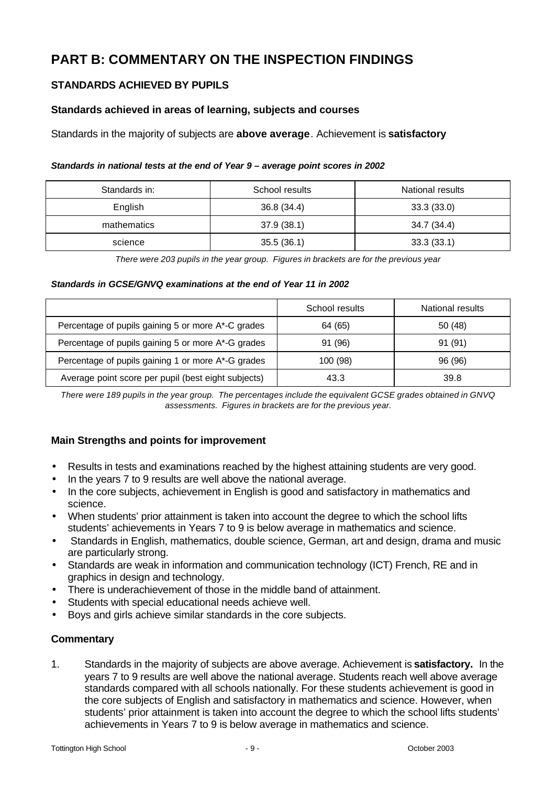# **PART B: COMMENTARY ON THE INSPECTION FINDINGS**

# **STANDARDS ACHIEVED BY PUPILS**

# **Standards achieved in areas of learning, subjects and courses**

Standards in the majority of subjects are **above average**. Achievement is **satisfactory**

#### *Standards in national tests at the end of Year 9 – average point scores in 2002*

| Standards in: | School results | National results |  |
|---------------|----------------|------------------|--|
| English       | 36.8 (34.4)    | 33.3(33.0)       |  |
| mathematics   | 37.9(38.1)     | 34.7 (34.4)      |  |
| science       | 35.5(36.1)     | 33.3(33.1)       |  |

*There were 203 pupils in the year group. Figures in brackets are for the previous year*

#### *Standards in GCSE/GNVQ examinations at the end of Year 11 in 2002*

|                                                     | School results | National results |
|-----------------------------------------------------|----------------|------------------|
| Percentage of pupils gaining 5 or more A*-C grades  | 64 (65)        | 50 (48)          |
| Percentage of pupils gaining 5 or more A*-G grades  | 91 (96)        | 91 (91)          |
| Percentage of pupils gaining 1 or more A*-G grades  | 100 (98)       | 96 (96)          |
| Average point score per pupil (best eight subjects) | 43.3           | 39.8             |

*There were 189 pupils in the year group. The percentages include the equivalent GCSE grades obtained in GNVQ assessments. Figures in brackets are for the previous year.*

# **Main Strengths and points for improvement**

- Results in tests and examinations reached by the highest attaining students are very good.
- In the years 7 to 9 results are well above the national average.
- In the core subjects, achievement in English is good and satisfactory in mathematics and science.
- When students' prior attainment is taken into account the degree to which the school lifts students' achievements in Years 7 to 9 is below average in mathematics and science.
- Standards in English, mathematics, double science, German, art and design, drama and music are particularly strong.
- Standards are weak in information and communication technology (ICT) French, RE and in graphics in design and technology.
- There is underachievement of those in the middle band of attainment.
- Students with special educational needs achieve well.
- Boys and girls achieve similar standards in the core subjects.

#### **Commentary**

1. Standards in the majority of subjects are above average. Achievement is **satisfactory.** In the years 7 to 9 results are well above the national average. Students reach well above average standards compared with all schools nationally. For these students achievement is good in the core subjects of English and satisfactory in mathematics and science. However, when students' prior attainment is taken into account the degree to which the school lifts students' achievements in Years 7 to 9 is below average in mathematics and science.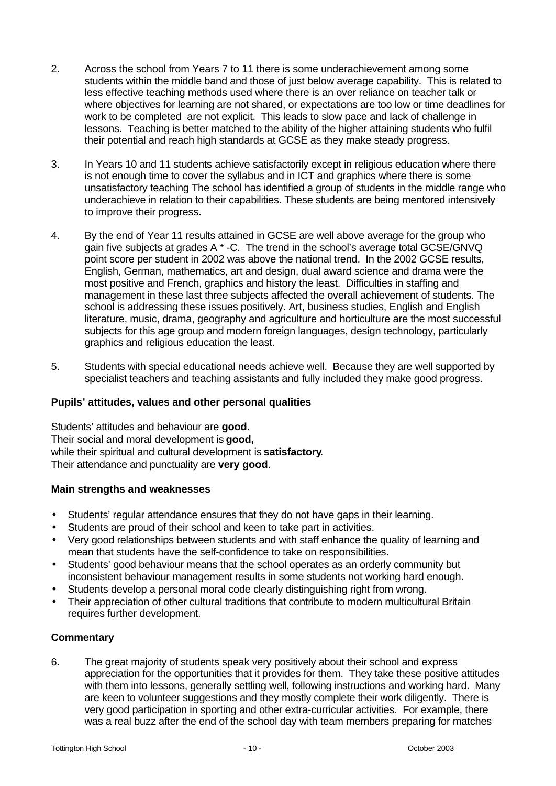- 2. Across the school from Years 7 to 11 there is some underachievement among some students within the middle band and those of just below average capability. This is related to less effective teaching methods used where there is an over reliance on teacher talk or where objectives for learning are not shared, or expectations are too low or time deadlines for work to be completed are not explicit. This leads to slow pace and lack of challenge in lessons. Teaching is better matched to the ability of the higher attaining students who fulfil their potential and reach high standards at GCSE as they make steady progress.
- 3. In Years 10 and 11 students achieve satisfactorily except in religious education where there is not enough time to cover the syllabus and in ICT and graphics where there is some unsatisfactory teaching The school has identified a group of students in the middle range who underachieve in relation to their capabilities. These students are being mentored intensively to improve their progress.
- 4. By the end of Year 11 results attained in GCSE are well above average for the group who gain five subjects at grades A \* -C. The trend in the school's average total GCSE/GNVQ point score per student in 2002 was above the national trend. In the 2002 GCSE results, English, German, mathematics, art and design, dual award science and drama were the most positive and French, graphics and history the least. Difficulties in staffing and management in these last three subjects affected the overall achievement of students. The school is addressing these issues positively. Art, business studies, English and English literature, music, drama, geography and agriculture and horticulture are the most successful subjects for this age group and modern foreign languages, design technology, particularly graphics and religious education the least.
- 5. Students with special educational needs achieve well. Because they are well supported by specialist teachers and teaching assistants and fully included they make good progress.

# **Pupils' attitudes, values and other personal qualities**

Students' attitudes and behaviour are **good**. Their social and moral development is **good,** while their spiritual and cultural development is **satisfactory**. Their attendance and punctuality are **very good**.

#### **Main strengths and weaknesses**

- Students' regular attendance ensures that they do not have gaps in their learning.
- Students are proud of their school and keen to take part in activities.
- Verv good relationships between students and with staff enhance the quality of learning and mean that students have the self-confidence to take on responsibilities.
- Students' good behaviour means that the school operates as an orderly community but inconsistent behaviour management results in some students not working hard enough.
- Students develop a personal moral code clearly distinguishing right from wrong.
- Their appreciation of other cultural traditions that contribute to modern multicultural Britain requires further development.

# **Commentary**

6. The great majority of students speak very positively about their school and express appreciation for the opportunities that it provides for them. They take these positive attitudes with them into lessons, generally settling well, following instructions and working hard. Many are keen to volunteer suggestions and they mostly complete their work diligently. There is very good participation in sporting and other extra-curricular activities. For example, there was a real buzz after the end of the school day with team members preparing for matches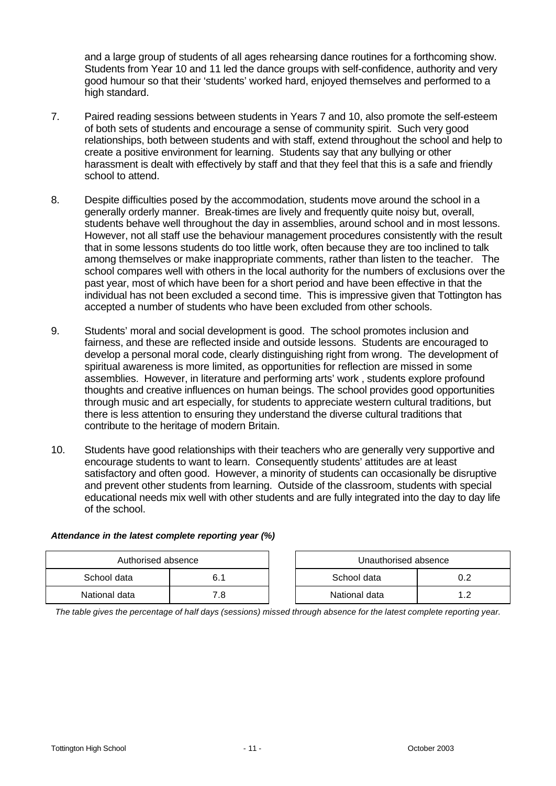and a large group of students of all ages rehearsing dance routines for a forthcoming show. Students from Year 10 and 11 led the dance groups with self-confidence, authority and very good humour so that their 'students' worked hard, enjoyed themselves and performed to a high standard.

- 7. Paired reading sessions between students in Years 7 and 10, also promote the self-esteem of both sets of students and encourage a sense of community spirit. Such very good relationships, both between students and with staff, extend throughout the school and help to create a positive environment for learning. Students say that any bullying or other harassment is dealt with effectively by staff and that they feel that this is a safe and friendly school to attend.
- 8. Despite difficulties posed by the accommodation, students move around the school in a generally orderly manner. Break-times are lively and frequently quite noisy but, overall, students behave well throughout the day in assemblies, around school and in most lessons. However, not all staff use the behaviour management procedures consistently with the result that in some lessons students do too little work, often because they are too inclined to talk among themselves or make inappropriate comments, rather than listen to the teacher. The school compares well with others in the local authority for the numbers of exclusions over the past year, most of which have been for a short period and have been effective in that the individual has not been excluded a second time. This is impressive given that Tottington has accepted a number of students who have been excluded from other schools.
- 9. Students' moral and social development is good. The school promotes inclusion and fairness, and these are reflected inside and outside lessons. Students are encouraged to develop a personal moral code, clearly distinguishing right from wrong. The development of spiritual awareness is more limited, as opportunities for reflection are missed in some assemblies. However, in literature and performing arts' work , students explore profound thoughts and creative influences on human beings. The school provides good opportunities through music and art especially, for students to appreciate western cultural traditions, but there is less attention to ensuring they understand the diverse cultural traditions that contribute to the heritage of modern Britain.
- 10. Students have good relationships with their teachers who are generally very supportive and encourage students to want to learn. Consequently students' attitudes are at least satisfactory and often good. However, a minority of students can occasionally be disruptive and prevent other students from learning. Outside of the classroom, students with special educational needs mix well with other students and are fully integrated into the day to day life of the school.

#### *Attendance in the latest complete reporting year (%)*

| Authorised absence |      |  | Unauthorised absence |  |
|--------------------|------|--|----------------------|--|
| School data        |      |  | School data          |  |
| National data      | 7.8. |  | National data        |  |

*The table gives the percentage of half days (sessions) missed through absence for the latest complete reporting year.*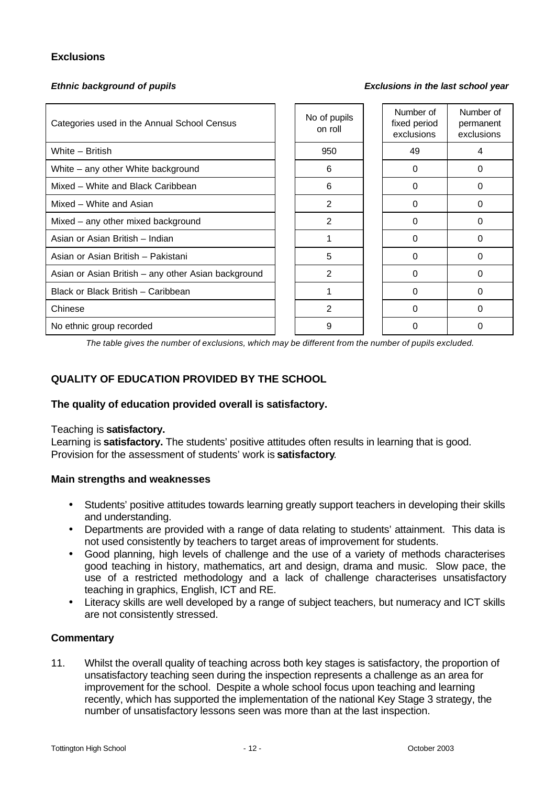# **Exclusions**

*Ethnic background of pupils Exclusions in the last school year*

| Categories used in the Annual School Census         |  | No of pupils<br>on roll | Number of<br>fixed period<br>exclusions | Number of<br>permanent<br>exclusions |
|-----------------------------------------------------|--|-------------------------|-----------------------------------------|--------------------------------------|
| White - British                                     |  | 950                     | 49                                      | 4                                    |
| White - any other White background                  |  | 6                       | 0                                       | 0                                    |
| Mixed - White and Black Caribbean                   |  | 6                       | $\Omega$                                | $\Omega$                             |
| Mixed - White and Asian                             |  | 2                       | $\Omega$                                | $\Omega$                             |
| Mixed - any other mixed background                  |  | 2                       | 0                                       | 0                                    |
| Asian or Asian British - Indian                     |  |                         | $\Omega$                                | 0                                    |
| Asian or Asian British - Pakistani                  |  | 5                       | 0                                       | $\Omega$                             |
| Asian or Asian British - any other Asian background |  | $\overline{c}$          | $\Omega$                                | $\Omega$                             |
| Black or Black British - Caribbean                  |  |                         | $\Omega$                                | $\Omega$                             |
| Chinese                                             |  | 2                       | 0                                       | 0                                    |
| No ethnic group recorded                            |  | 9                       |                                         | O                                    |

*The table gives the number of exclusions, which may be different from the number of pupils excluded.*

# **QUALITY OF EDUCATION PROVIDED BY THE SCHOOL**

#### **The quality of education provided overall is satisfactory.**

#### Teaching is **satisfactory.**

Learning is **satisfactory.** The students' positive attitudes often results in learning that is good. Provision for the assessment of students' work is **satisfactory**.

#### **Main strengths and weaknesses**

- Students' positive attitudes towards learning greatly support teachers in developing their skills and understanding.
- Departments are provided with a range of data relating to students' attainment. This data is not used consistently by teachers to target areas of improvement for students.
- Good planning, high levels of challenge and the use of a variety of methods characterises good teaching in history, mathematics, art and design, drama and music. Slow pace, the use of a restricted methodology and a lack of challenge characterises unsatisfactory teaching in graphics, English, ICT and RE.
- Literacy skills are well developed by a range of subject teachers, but numeracy and ICT skills are not consistently stressed.

#### **Commentary**

11. Whilst the overall quality of teaching across both key stages is satisfactory, the proportion of unsatisfactory teaching seen during the inspection represents a challenge as an area for improvement for the school. Despite a whole school focus upon teaching and learning recently, which has supported the implementation of the national Key Stage 3 strategy, the number of unsatisfactory lessons seen was more than at the last inspection.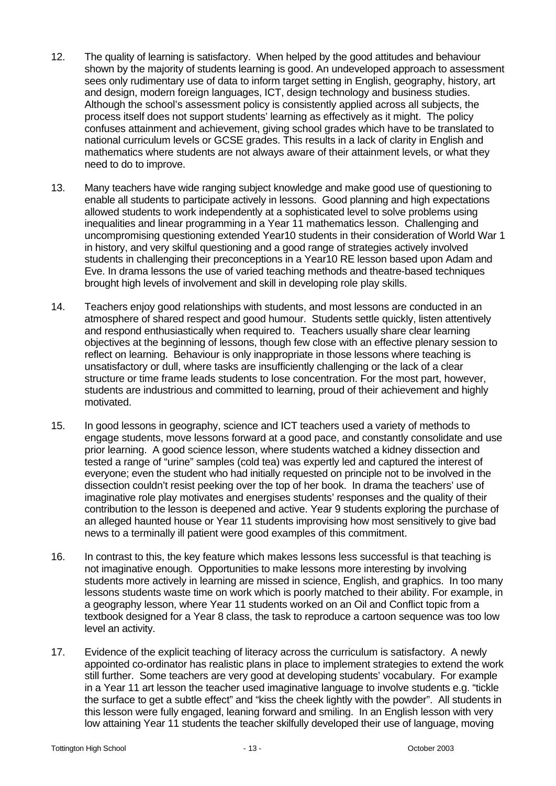- 12. The quality of learning is satisfactory. When helped by the good attitudes and behaviour shown by the majority of students learning is good. An undeveloped approach to assessment sees only rudimentary use of data to inform target setting in English, geography, history, art and design, modern foreign languages, ICT, design technology and business studies. Although the school's assessment policy is consistently applied across all subjects, the process itself does not support students' learning as effectively as it might. The policy confuses attainment and achievement, giving school grades which have to be translated to national curriculum levels or GCSE grades. This results in a lack of clarity in English and mathematics where students are not always aware of their attainment levels, or what they need to do to improve.
- 13. Many teachers have wide ranging subject knowledge and make good use of questioning to enable all students to participate actively in lessons. Good planning and high expectations allowed students to work independently at a sophisticated level to solve problems using inequalities and linear programming in a Year 11 mathematics lesson. Challenging and uncompromising questioning extended Year10 students in their consideration of World War 1 in history, and very skilful questioning and a good range of strategies actively involved students in challenging their preconceptions in a Year10 RE lesson based upon Adam and Eve. In drama lessons the use of varied teaching methods and theatre-based techniques brought high levels of involvement and skill in developing role play skills.
- 14. Teachers enjoy good relationships with students, and most lessons are conducted in an atmosphere of shared respect and good humour. Students settle quickly, listen attentively and respond enthusiastically when required to. Teachers usually share clear learning objectives at the beginning of lessons, though few close with an effective plenary session to reflect on learning. Behaviour is only inappropriate in those lessons where teaching is unsatisfactory or dull, where tasks are insufficiently challenging or the lack of a clear structure or time frame leads students to lose concentration. For the most part, however, students are industrious and committed to learning, proud of their achievement and highly motivated.
- 15. In good lessons in geography, science and ICT teachers used a variety of methods to engage students, move lessons forward at a good pace, and constantly consolidate and use prior learning. A good science lesson, where students watched a kidney dissection and tested a range of "urine" samples (cold tea) was expertly led and captured the interest of everyone; even the student who had initially requested on principle not to be involved in the dissection couldn't resist peeking over the top of her book. In drama the teachers' use of imaginative role play motivates and energises students' responses and the quality of their contribution to the lesson is deepened and active. Year 9 students exploring the purchase of an alleged haunted house or Year 11 students improvising how most sensitively to give bad news to a terminally ill patient were good examples of this commitment.
- 16. In contrast to this, the key feature which makes lessons less successful is that teaching is not imaginative enough. Opportunities to make lessons more interesting by involving students more actively in learning are missed in science, English, and graphics. In too many lessons students waste time on work which is poorly matched to their ability. For example, in a geography lesson, where Year 11 students worked on an Oil and Conflict topic from a textbook designed for a Year 8 class, the task to reproduce a cartoon sequence was too low level an activity.
- 17. Evidence of the explicit teaching of literacy across the curriculum is satisfactory. A newly appointed co-ordinator has realistic plans in place to implement strategies to extend the work still further. Some teachers are very good at developing students' vocabulary. For example in a Year 11 art lesson the teacher used imaginative language to involve students e.g. "tickle the surface to get a subtle effect" and "kiss the cheek lightly with the powder". All students in this lesson were fully engaged, leaning forward and smiling. In an English lesson with very low attaining Year 11 students the teacher skilfully developed their use of language, moving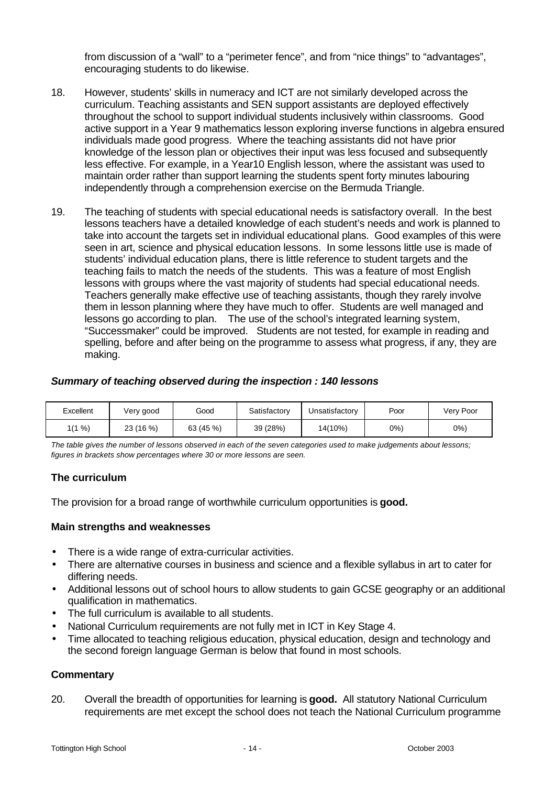from discussion of a "wall" to a "perimeter fence", and from "nice things" to "advantages", encouraging students to do likewise.

- 18. However, students' skills in numeracy and ICT are not similarly developed across the curriculum. Teaching assistants and SEN support assistants are deployed effectively throughout the school to support individual students inclusively within classrooms. Good active support in a Year 9 mathematics lesson exploring inverse functions in algebra ensured individuals made good progress. Where the teaching assistants did not have prior knowledge of the lesson plan or objectives their input was less focused and subsequently less effective. For example, in a Year10 English lesson, where the assistant was used to maintain order rather than support learning the students spent forty minutes labouring independently through a comprehension exercise on the Bermuda Triangle.
- 19. The teaching of students with special educational needs is satisfactory overall. In the best lessons teachers have a detailed knowledge of each student's needs and work is planned to take into account the targets set in individual educational plans. Good examples of this were seen in art, science and physical education lessons. In some lessons little use is made of students' individual education plans, there is little reference to student targets and the teaching fails to match the needs of the students. This was a feature of most English lessons with groups where the vast majority of students had special educational needs. Teachers generally make effective use of teaching assistants, though they rarely involve them in lesson planning where they have much to offer. Students are well managed and lessons go according to plan. The use of the school's integrated learning system, "Successmaker" could be improved. Students are not tested, for example in reading and spelling, before and after being on the programme to assess what progress, if any, they are making.

#### *Summary of teaching observed during the inspection : 140 lessons*

| Excellent | Very good | Good      | Satisfactory | Unsatisfactory | Poor | Verv Poor |
|-----------|-----------|-----------|--------------|----------------|------|-----------|
| $(1\% )$  | 23 (16 %) | 63 (45 %) | 39 (28%)     | 14(10%)        | 0%   | $0\%$ )   |

*The table gives the number of lessons observed in each of the seven categories used to make judgements about lessons; figures in brackets show percentages where 30 or more lessons are seen.*

#### **The curriculum**

The provision for a broad range of worthwhile curriculum opportunities is **good.**

#### **Main strengths and weaknesses**

- There is a wide range of extra-curricular activities.
- There are alternative courses in business and science and a flexible syllabus in art to cater for differing needs.
- Additional lessons out of school hours to allow students to gain GCSE geography or an additional qualification in mathematics.
- The full curriculum is available to all students.
- National Curriculum requirements are not fully met in ICT in Key Stage 4.
- Time allocated to teaching religious education, physical education, design and technology and the second foreign language German is below that found in most schools.

#### **Commentary**

20. Overall the breadth of opportunities for learning is **good.** All statutory National Curriculum requirements are met except the school does not teach the National Curriculum programme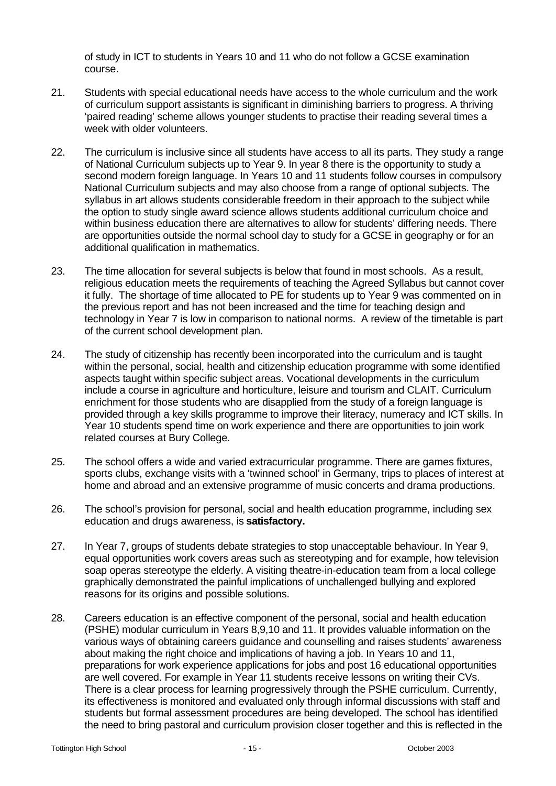of study in ICT to students in Years 10 and 11 who do not follow a GCSE examination course.

- 21. Students with special educational needs have access to the whole curriculum and the work of curriculum support assistants is significant in diminishing barriers to progress. A thriving 'paired reading' scheme allows younger students to practise their reading several times a week with older volunteers.
- 22. The curriculum is inclusive since all students have access to all its parts. They study a range of National Curriculum subjects up to Year 9. In year 8 there is the opportunity to study a second modern foreign language. In Years 10 and 11 students follow courses in compulsory National Curriculum subjects and may also choose from a range of optional subjects. The syllabus in art allows students considerable freedom in their approach to the subject while the option to study single award science allows students additional curriculum choice and within business education there are alternatives to allow for students' differing needs. There are opportunities outside the normal school day to study for a GCSE in geography or for an additional qualification in mathematics.
- 23. The time allocation for several subjects is below that found in most schools. As a result, religious education meets the requirements of teaching the Agreed Syllabus but cannot cover it fully. The shortage of time allocated to PE for students up to Year 9 was commented on in the previous report and has not been increased and the time for teaching design and technology in Year 7 is low in comparison to national norms. A review of the timetable is part of the current school development plan.
- 24. The study of citizenship has recently been incorporated into the curriculum and is taught within the personal, social, health and citizenship education programme with some identified aspects taught within specific subject areas. Vocational developments in the curriculum include a course in agriculture and horticulture, leisure and tourism and CLAIT. Curriculum enrichment for those students who are disapplied from the study of a foreign language is provided through a key skills programme to improve their literacy, numeracy and ICT skills. In Year 10 students spend time on work experience and there are opportunities to join work related courses at Bury College.
- 25. The school offers a wide and varied extracurricular programme. There are games fixtures, sports clubs, exchange visits with a 'twinned school' in Germany, trips to places of interest at home and abroad and an extensive programme of music concerts and drama productions.
- 26. The school's provision for personal, social and health education programme, including sex education and drugs awareness, is **satisfactory.**
- 27. In Year 7, groups of students debate strategies to stop unacceptable behaviour. In Year 9, equal opportunities work covers areas such as stereotyping and for example, how television soap operas stereotype the elderly. A visiting theatre-in-education team from a local college graphically demonstrated the painful implications of unchallenged bullying and explored reasons for its origins and possible solutions.
- 28. Careers education is an effective component of the personal, social and health education (PSHE) modular curriculum in Years 8,9,10 and 11. It provides valuable information on the various ways of obtaining careers guidance and counselling and raises students' awareness about making the right choice and implications of having a job. In Years 10 and 11, preparations for work experience applications for jobs and post 16 educational opportunities are well covered. For example in Year 11 students receive lessons on writing their CVs. There is a clear process for learning progressively through the PSHE curriculum. Currently, its effectiveness is monitored and evaluated only through informal discussions with staff and students but formal assessment procedures are being developed. The school has identified the need to bring pastoral and curriculum provision closer together and this is reflected in the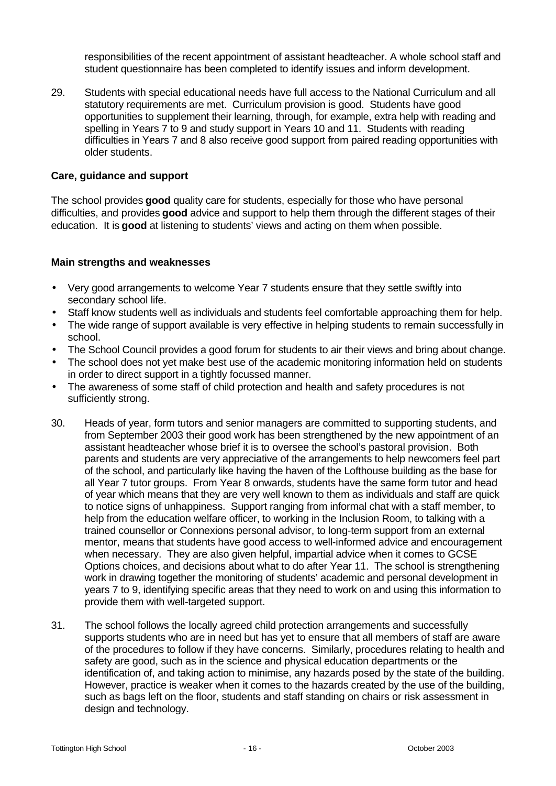responsibilities of the recent appointment of assistant headteacher. A whole school staff and student questionnaire has been completed to identify issues and inform development.

29. Students with special educational needs have full access to the National Curriculum and all statutory requirements are met. Curriculum provision is good. Students have good opportunities to supplement their learning, through, for example, extra help with reading and spelling in Years 7 to 9 and study support in Years 10 and 11. Students with reading difficulties in Years 7 and 8 also receive good support from paired reading opportunities with older students.

#### **Care, guidance and support**

The school provides **good** quality care for students, especially for those who have personal difficulties, and provides **good** advice and support to help them through the different stages of their education. It is **good** at listening to students' views and acting on them when possible.

- Very good arrangements to welcome Year 7 students ensure that they settle swiftly into secondary school life.
- Staff know students well as individuals and students feel comfortable approaching them for help.
- The wide range of support available is very effective in helping students to remain successfully in school.
- The School Council provides a good forum for students to air their views and bring about change.
- The school does not yet make best use of the academic monitoring information held on students in order to direct support in a tightly focussed manner.
- The awareness of some staff of child protection and health and safety procedures is not sufficiently strong.
- 30. Heads of year, form tutors and senior managers are committed to supporting students, and from September 2003 their good work has been strengthened by the new appointment of an assistant headteacher whose brief it is to oversee the school's pastoral provision. Both parents and students are very appreciative of the arrangements to help newcomers feel part of the school, and particularly like having the haven of the Lofthouse building as the base for all Year 7 tutor groups. From Year 8 onwards, students have the same form tutor and head of year which means that they are very well known to them as individuals and staff are quick to notice signs of unhappiness. Support ranging from informal chat with a staff member, to help from the education welfare officer, to working in the Inclusion Room, to talking with a trained counsellor or Connexions personal advisor, to long-term support from an external mentor, means that students have good access to well-informed advice and encouragement when necessary. They are also given helpful, impartial advice when it comes to GCSE Options choices, and decisions about what to do after Year 11. The school is strengthening work in drawing together the monitoring of students' academic and personal development in years 7 to 9, identifying specific areas that they need to work on and using this information to provide them with well-targeted support.
- 31. The school follows the locally agreed child protection arrangements and successfully supports students who are in need but has yet to ensure that all members of staff are aware of the procedures to follow if they have concerns. Similarly, procedures relating to health and safety are good, such as in the science and physical education departments or the identification of, and taking action to minimise, any hazards posed by the state of the building. However, practice is weaker when it comes to the hazards created by the use of the building, such as bags left on the floor, students and staff standing on chairs or risk assessment in design and technology.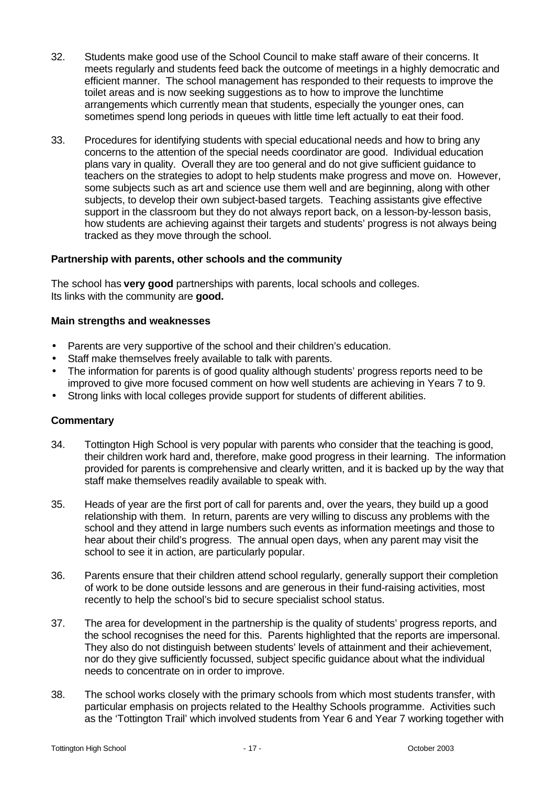- 32. Students make good use of the School Council to make staff aware of their concerns. It meets regularly and students feed back the outcome of meetings in a highly democratic and efficient manner. The school management has responded to their requests to improve the toilet areas and is now seeking suggestions as to how to improve the lunchtime arrangements which currently mean that students, especially the younger ones, can sometimes spend long periods in queues with little time left actually to eat their food.
- 33. Procedures for identifying students with special educational needs and how to bring any concerns to the attention of the special needs coordinator are good. Individual education plans vary in quality. Overall they are too general and do not give sufficient guidance to teachers on the strategies to adopt to help students make progress and move on. However, some subjects such as art and science use them well and are beginning, along with other subjects, to develop their own subject-based targets. Teaching assistants give effective support in the classroom but they do not always report back, on a lesson-by-lesson basis, how students are achieving against their targets and students' progress is not always being tracked as they move through the school.

#### **Partnership with parents, other schools and the community**

The school has **very good** partnerships with parents, local schools and colleges. Its links with the community are **good.**

#### **Main strengths and weaknesses**

- Parents are very supportive of the school and their children's education.
- Staff make themselves freely available to talk with parents.
- The information for parents is of good quality although students' progress reports need to be improved to give more focused comment on how well students are achieving in Years 7 to 9.
- Strong links with local colleges provide support for students of different abilities.

- 34. Tottington High School is very popular with parents who consider that the teaching is good, their children work hard and, therefore, make good progress in their learning. The information provided for parents is comprehensive and clearly written, and it is backed up by the way that staff make themselves readily available to speak with.
- 35. Heads of year are the first port of call for parents and, over the years, they build up a good relationship with them. In return, parents are very willing to discuss any problems with the school and they attend in large numbers such events as information meetings and those to hear about their child's progress. The annual open days, when any parent may visit the school to see it in action, are particularly popular.
- 36. Parents ensure that their children attend school regularly, generally support their completion of work to be done outside lessons and are generous in their fund-raising activities, most recently to help the school's bid to secure specialist school status.
- 37. The area for development in the partnership is the quality of students' progress reports, and the school recognises the need for this. Parents highlighted that the reports are impersonal. They also do not distinguish between students' levels of attainment and their achievement, nor do they give sufficiently focussed, subject specific guidance about what the individual needs to concentrate on in order to improve.
- 38. The school works closely with the primary schools from which most students transfer, with particular emphasis on projects related to the Healthy Schools programme. Activities such as the 'Tottington Trail' which involved students from Year 6 and Year 7 working together with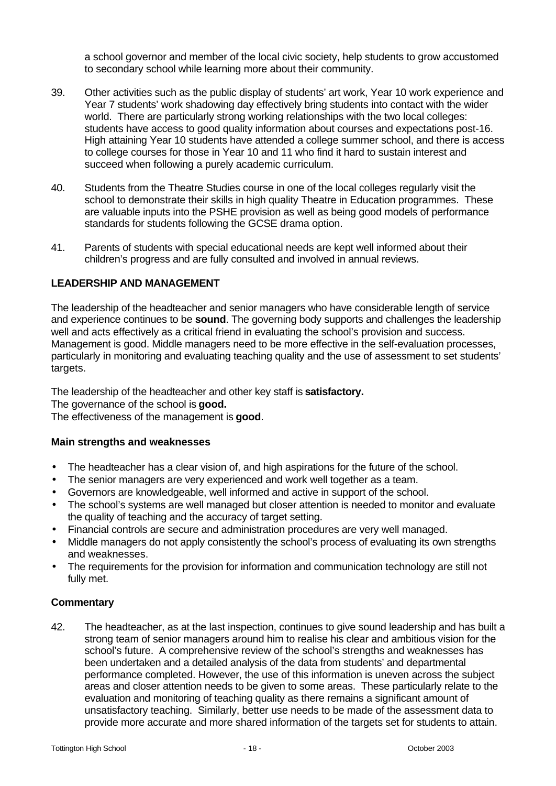a school governor and member of the local civic society, help students to grow accustomed to secondary school while learning more about their community.

- 39. Other activities such as the public display of students' art work, Year 10 work experience and Year 7 students' work shadowing day effectively bring students into contact with the wider world. There are particularly strong working relationships with the two local colleges: students have access to good quality information about courses and expectations post-16. High attaining Year 10 students have attended a college summer school, and there is access to college courses for those in Year 10 and 11 who find it hard to sustain interest and succeed when following a purely academic curriculum.
- 40. Students from the Theatre Studies course in one of the local colleges regularly visit the school to demonstrate their skills in high quality Theatre in Education programmes. These are valuable inputs into the PSHE provision as well as being good models of performance standards for students following the GCSE drama option.
- 41. Parents of students with special educational needs are kept well informed about their children's progress and are fully consulted and involved in annual reviews.

### **LEADERSHIP AND MANAGEMENT**

The leadership of the headteacher and senior managers who have considerable length of service and experience continues to be **sound**. The governing body supports and challenges the leadership well and acts effectively as a critical friend in evaluating the school's provision and success. Management is good. Middle managers need to be more effective in the self-evaluation processes, particularly in monitoring and evaluating teaching quality and the use of assessment to set students' targets.

The leadership of the headteacher and other key staff is **satisfactory.**

The governance of the school is **good.**

The effectiveness of the management is **good**.

#### **Main strengths and weaknesses**

- The headteacher has a clear vision of, and high aspirations for the future of the school.
- The senior managers are very experienced and work well together as a team.
- Governors are knowledgeable, well informed and active in support of the school.
- The school's systems are well managed but closer attention is needed to monitor and evaluate the quality of teaching and the accuracy of target setting.
- Financial controls are secure and administration procedures are very well managed.
- Middle managers do not apply consistently the school's process of evaluating its own strengths and weaknesses.
- The requirements for the provision for information and communication technology are still not fully met.

#### **Commentary**

42. The headteacher, as at the last inspection, continues to give sound leadership and has built a strong team of senior managers around him to realise his clear and ambitious vision for the school's future. A comprehensive review of the school's strengths and weaknesses has been undertaken and a detailed analysis of the data from students' and departmental performance completed. However, the use of this information is uneven across the subject areas and closer attention needs to be given to some areas. These particularly relate to the evaluation and monitoring of teaching quality as there remains a significant amount of unsatisfactory teaching. Similarly, better use needs to be made of the assessment data to provide more accurate and more shared information of the targets set for students to attain.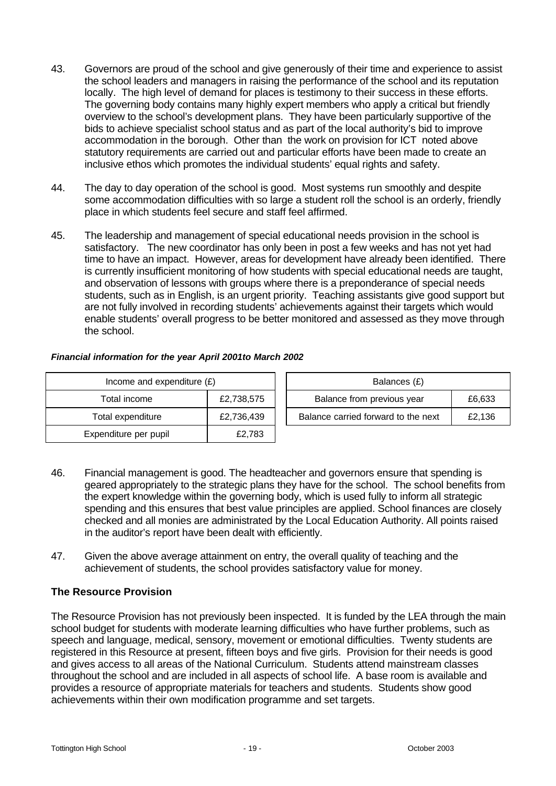- 43. Governors are proud of the school and give generously of their time and experience to assist the school leaders and managers in raising the performance of the school and its reputation locally. The high level of demand for places is testimony to their success in these efforts. The governing body contains many highly expert members who apply a critical but friendly overview to the school's development plans. They have been particularly supportive of the bids to achieve specialist school status and as part of the local authority's bid to improve accommodation in the borough. Other than the work on provision for ICT noted above statutory requirements are carried out and particular efforts have been made to create an inclusive ethos which promotes the individual students' equal rights and safety.
- 44. The day to day operation of the school is good. Most systems run smoothly and despite some accommodation difficulties with so large a student roll the school is an orderly, friendly place in which students feel secure and staff feel affirmed.
- 45. The leadership and management of special educational needs provision in the school is satisfactory. The new coordinator has only been in post a few weeks and has not yet had time to have an impact. However, areas for development have already been identified. There is currently insufficient monitoring of how students with special educational needs are taught, and observation of lessons with groups where there is a preponderance of special needs students, such as in English, is an urgent priority. Teaching assistants give good support but are not fully involved in recording students' achievements against their targets which would enable students' overall progress to be better monitored and assessed as they move through the school.

| Income and expenditure $(E)$    |        | Balances (£)                        |        |
|---------------------------------|--------|-------------------------------------|--------|
| Total income<br>£2,738,575      |        | Balance from previous year          | £6,633 |
| Total expenditure<br>£2,736,439 |        | Balance carried forward to the next | £2,136 |
| Expenditure per pupil           | £2,783 |                                     |        |

| Financial information for the year April 2001to March 2002 |  |  |
|------------------------------------------------------------|--|--|
|                                                            |  |  |

| Balances (£)                         |        |  |  |  |
|--------------------------------------|--------|--|--|--|
| Balance from previous year<br>£6,633 |        |  |  |  |
| Balance carried forward to the next  | £2,136 |  |  |  |

- 46. Financial management is good. The headteacher and governors ensure that spending is geared appropriately to the strategic plans they have for the school. The school benefits from the expert knowledge within the governing body, which is used fully to inform all strategic spending and this ensures that best value principles are applied. School finances are closely checked and all monies are administrated by the Local Education Authority. All points raised in the auditor's report have been dealt with efficiently.
- 47. Given the above average attainment on entry, the overall quality of teaching and the achievement of students, the school provides satisfactory value for money.

# **The Resource Provision**

The Resource Provision has not previously been inspected. It is funded by the LEA through the main school budget for students with moderate learning difficulties who have further problems, such as speech and language, medical, sensory, movement or emotional difficulties. Twenty students are registered in this Resource at present, fifteen boys and five girls. Provision for their needs is good and gives access to all areas of the National Curriculum. Students attend mainstream classes throughout the school and are included in all aspects of school life. A base room is available and provides a resource of appropriate materials for teachers and students. Students show good achievements within their own modification programme and set targets.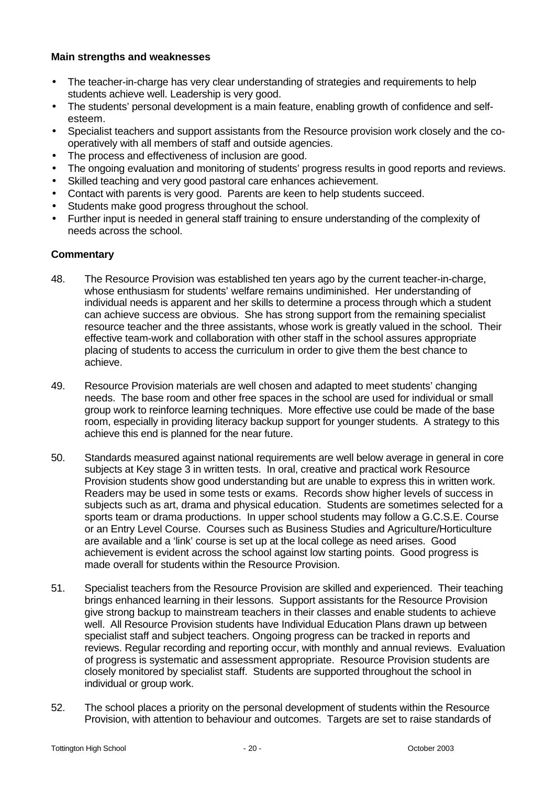#### **Main strengths and weaknesses**

- The teacher-in-charge has very clear understanding of strategies and requirements to help students achieve well. Leadership is very good.
- The students' personal development is a main feature, enabling growth of confidence and selfesteem.
- Specialist teachers and support assistants from the Resource provision work closely and the cooperatively with all members of staff and outside agencies.
- The process and effectiveness of inclusion are good.
- The ongoing evaluation and monitoring of students' progress results in good reports and reviews.
- Skilled teaching and very good pastoral care enhances achievement.
- Contact with parents is very good. Parents are keen to help students succeed.
- Students make good progress throughout the school.
- Further input is needed in general staff training to ensure understanding of the complexity of needs across the school.

- 48. The Resource Provision was established ten years ago by the current teacher-in-charge, whose enthusiasm for students' welfare remains undiminished. Her understanding of individual needs is apparent and her skills to determine a process through which a student can achieve success are obvious. She has strong support from the remaining specialist resource teacher and the three assistants, whose work is greatly valued in the school. Their effective team-work and collaboration with other staff in the school assures appropriate placing of students to access the curriculum in order to give them the best chance to achieve.
- 49. Resource Provision materials are well chosen and adapted to meet students' changing needs. The base room and other free spaces in the school are used for individual or small group work to reinforce learning techniques. More effective use could be made of the base room, especially in providing literacy backup support for younger students. A strategy to this achieve this end is planned for the near future.
- 50. Standards measured against national requirements are well below average in general in core subjects at Key stage 3 in written tests. In oral, creative and practical work Resource Provision students show good understanding but are unable to express this in written work. Readers may be used in some tests or exams. Records show higher levels of success in subjects such as art, drama and physical education. Students are sometimes selected for a sports team or drama productions. In upper school students may follow a G.C.S.E. Course or an Entry Level Course. Courses such as Business Studies and Agriculture/Horticulture are available and a 'link' course is set up at the local college as need arises. Good achievement is evident across the school against low starting points. Good progress is made overall for students within the Resource Provision.
- 51. Specialist teachers from the Resource Provision are skilled and experienced. Their teaching brings enhanced learning in their lessons. Support assistants for the Resource Provision give strong backup to mainstream teachers in their classes and enable students to achieve well. All Resource Provision students have Individual Education Plans drawn up between specialist staff and subject teachers. Ongoing progress can be tracked in reports and reviews. Regular recording and reporting occur, with monthly and annual reviews. Evaluation of progress is systematic and assessment appropriate. Resource Provision students are closely monitored by specialist staff. Students are supported throughout the school in individual or group work.
- 52. The school places a priority on the personal development of students within the Resource Provision, with attention to behaviour and outcomes. Targets are set to raise standards of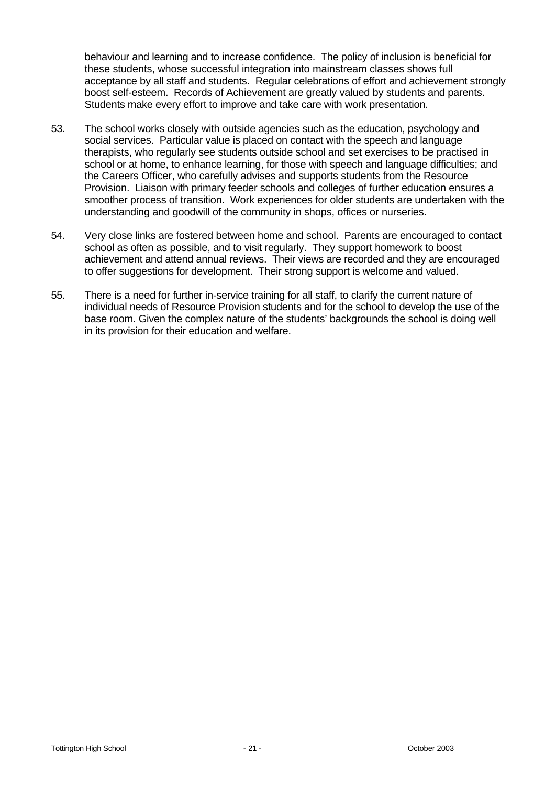behaviour and learning and to increase confidence. The policy of inclusion is beneficial for these students, whose successful integration into mainstream classes shows full acceptance by all staff and students. Regular celebrations of effort and achievement strongly boost self-esteem. Records of Achievement are greatly valued by students and parents. Students make every effort to improve and take care with work presentation.

- 53. The school works closely with outside agencies such as the education, psychology and social services. Particular value is placed on contact with the speech and language therapists, who regularly see students outside school and set exercises to be practised in school or at home, to enhance learning, for those with speech and language difficulties; and the Careers Officer, who carefully advises and supports students from the Resource Provision. Liaison with primary feeder schools and colleges of further education ensures a smoother process of transition. Work experiences for older students are undertaken with the understanding and goodwill of the community in shops, offices or nurseries.
- 54. Very close links are fostered between home and school. Parents are encouraged to contact school as often as possible, and to visit regularly. They support homework to boost achievement and attend annual reviews. Their views are recorded and they are encouraged to offer suggestions for development. Their strong support is welcome and valued.
- 55. There is a need for further in-service training for all staff, to clarify the current nature of individual needs of Resource Provision students and for the school to develop the use of the base room. Given the complex nature of the students' backgrounds the school is doing well in its provision for their education and welfare.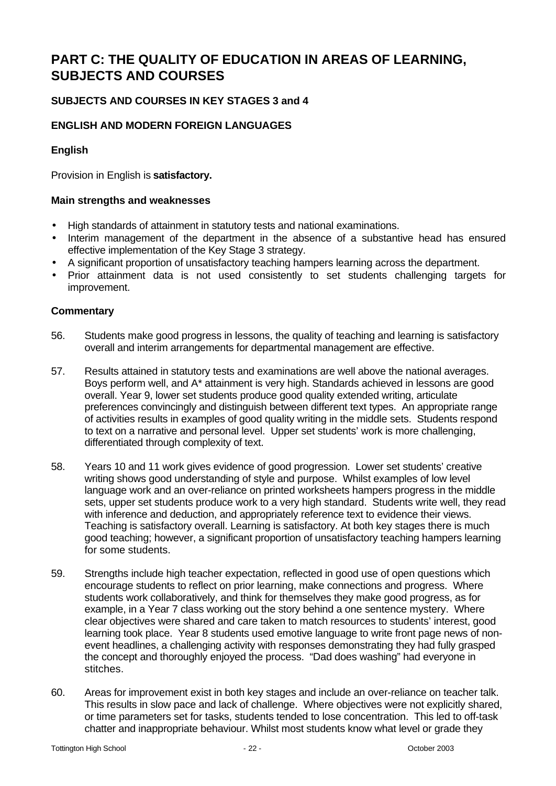# **PART C: THE QUALITY OF EDUCATION IN AREAS OF LEARNING, SUBJECTS AND COURSES**

# **SUBJECTS AND COURSES IN KEY STAGES 3 and 4**

# **ENGLISH AND MODERN FOREIGN LANGUAGES**

# **English**

Provision in English is **satisfactory.**

#### **Main strengths and weaknesses**

- High standards of attainment in statutory tests and national examinations.
- Interim management of the department in the absence of a substantive head has ensured effective implementation of the Key Stage 3 strategy.
- A significant proportion of unsatisfactory teaching hampers learning across the department.
- Prior attainment data is not used consistently to set students challenging targets for improvement.

- 56. Students make good progress in lessons, the quality of teaching and learning is satisfactory overall and interim arrangements for departmental management are effective.
- 57. Results attained in statutory tests and examinations are well above the national averages. Boys perform well, and A\* attainment is very high. Standards achieved in lessons are good overall. Year 9, lower set students produce good quality extended writing, articulate preferences convincingly and distinguish between different text types. An appropriate range of activities results in examples of good quality writing in the middle sets. Students respond to text on a narrative and personal level. Upper set students' work is more challenging, differentiated through complexity of text.
- 58. Years 10 and 11 work gives evidence of good progression. Lower set students' creative writing shows good understanding of style and purpose. Whilst examples of low level language work and an over-reliance on printed worksheets hampers progress in the middle sets, upper set students produce work to a very high standard. Students write well, they read with inference and deduction, and appropriately reference text to evidence their views. Teaching is satisfactory overall. Learning is satisfactory. At both key stages there is much good teaching; however, a significant proportion of unsatisfactory teaching hampers learning for some students.
- 59. Strengths include high teacher expectation, reflected in good use of open questions which encourage students to reflect on prior learning, make connections and progress. Where students work collaboratively, and think for themselves they make good progress, as for example, in a Year 7 class working out the story behind a one sentence mystery. Where clear objectives were shared and care taken to match resources to students' interest, good learning took place. Year 8 students used emotive language to write front page news of nonevent headlines, a challenging activity with responses demonstrating they had fully grasped the concept and thoroughly enjoyed the process. "Dad does washing" had everyone in stitches.
- 60. Areas for improvement exist in both key stages and include an over-reliance on teacher talk. This results in slow pace and lack of challenge. Where objectives were not explicitly shared, or time parameters set for tasks, students tended to lose concentration. This led to off-task chatter and inappropriate behaviour. Whilst most students know what level or grade they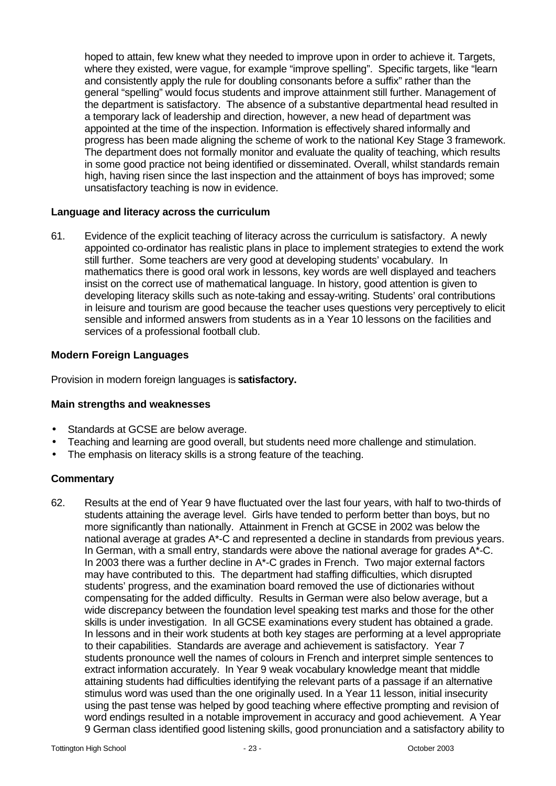hoped to attain, few knew what they needed to improve upon in order to achieve it. Targets, where they existed, were vague, for example "improve spelling". Specific targets, like "learn and consistently apply the rule for doubling consonants before a suffix" rather than the general "spelling" would focus students and improve attainment still further. Management of the department is satisfactory. The absence of a substantive departmental head resulted in a temporary lack of leadership and direction, however, a new head of department was appointed at the time of the inspection. Information is effectively shared informally and progress has been made aligning the scheme of work to the national Key Stage 3 framework. The department does not formally monitor and evaluate the quality of teaching, which results in some good practice not being identified or disseminated. Overall, whilst standards remain high, having risen since the last inspection and the attainment of boys has improved; some unsatisfactory teaching is now in evidence.

#### **Language and literacy across the curriculum**

61. Evidence of the explicit teaching of literacy across the curriculum is satisfactory. A newly appointed co-ordinator has realistic plans in place to implement strategies to extend the work still further. Some teachers are very good at developing students' vocabulary. In mathematics there is good oral work in lessons, key words are well displayed and teachers insist on the correct use of mathematical language. In history, good attention is given to developing literacy skills such as note-taking and essay-writing. Students' oral contributions in leisure and tourism are good because the teacher uses questions very perceptively to elicit sensible and informed answers from students as in a Year 10 lessons on the facilities and services of a professional football club.

# **Modern Foreign Languages**

Provision in modern foreign languages is **satisfactory.**

### **Main strengths and weaknesses**

- Standards at GCSE are below average.
- Teaching and learning are good overall, but students need more challenge and stimulation.
- The emphasis on literacy skills is a strong feature of the teaching.

#### **Commentary**

62. Results at the end of Year 9 have fluctuated over the last four years, with half to two-thirds of students attaining the average level. Girls have tended to perform better than boys, but no more significantly than nationally. Attainment in French at GCSE in 2002 was below the national average at grades A\*-C and represented a decline in standards from previous years. In German, with a small entry, standards were above the national average for grades A\*-C. In 2003 there was a further decline in  $A^*$ -C grades in French. Two major external factors may have contributed to this. The department had staffing difficulties, which disrupted students' progress, and the examination board removed the use of dictionaries without compensating for the added difficulty. Results in German were also below average, but a wide discrepancy between the foundation level speaking test marks and those for the other skills is under investigation. In all GCSE examinations every student has obtained a grade. In lessons and in their work students at both key stages are performing at a level appropriate to their capabilities. Standards are average and achievement is satisfactory. Year 7 students pronounce well the names of colours in French and interpret simple sentences to extract information accurately. In Year 9 weak vocabulary knowledge meant that middle attaining students had difficulties identifying the relevant parts of a passage if an alternative stimulus word was used than the one originally used. In a Year 11 lesson, initial insecurity using the past tense was helped by good teaching where effective prompting and revision of word endings resulted in a notable improvement in accuracy and good achievement. A Year 9 German class identified good listening skills, good pronunciation and a satisfactory ability to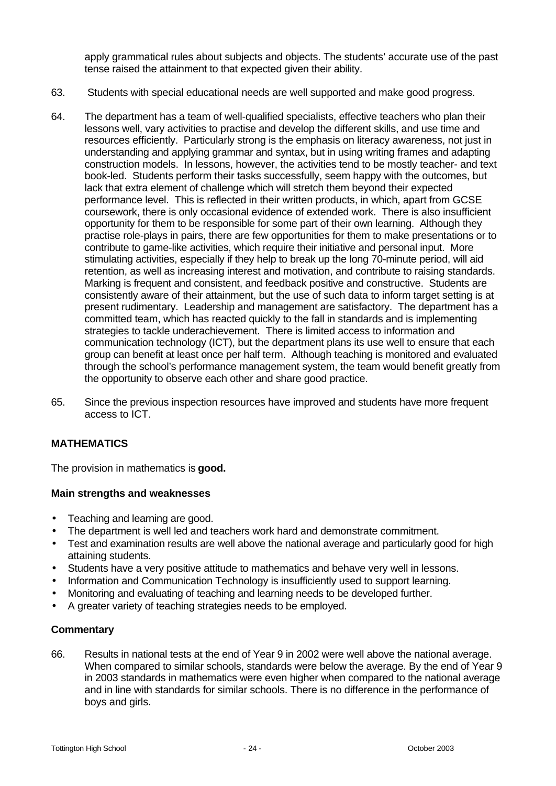apply grammatical rules about subjects and objects. The students' accurate use of the past tense raised the attainment to that expected given their ability.

- 63. Students with special educational needs are well supported and make good progress.
- 64. The department has a team of well-qualified specialists, effective teachers who plan their lessons well, vary activities to practise and develop the different skills, and use time and resources efficiently. Particularly strong is the emphasis on literacy awareness, not just in understanding and applying grammar and syntax, but in using writing frames and adapting construction models. In lessons, however, the activities tend to be mostly teacher- and text book-led. Students perform their tasks successfully, seem happy with the outcomes, but lack that extra element of challenge which will stretch them beyond their expected performance level. This is reflected in their written products, in which, apart from GCSE coursework, there is only occasional evidence of extended work. There is also insufficient opportunity for them to be responsible for some part of their own learning. Although they practise role-plays in pairs, there are few opportunities for them to make presentations or to contribute to game-like activities, which require their initiative and personal input. More stimulating activities, especially if they help to break up the long 70-minute period, will aid retention, as well as increasing interest and motivation, and contribute to raising standards. Marking is frequent and consistent, and feedback positive and constructive. Students are consistently aware of their attainment, but the use of such data to inform target setting is at present rudimentary. Leadership and management are satisfactory. The department has a committed team, which has reacted quickly to the fall in standards and is implementing strategies to tackle underachievement. There is limited access to information and communication technology (ICT), but the department plans its use well to ensure that each group can benefit at least once per half term. Although teaching is monitored and evaluated through the school's performance management system, the team would benefit greatly from the opportunity to observe each other and share good practice.
- 65. Since the previous inspection resources have improved and students have more frequent access to ICT.

#### **MATHEMATICS**

The provision in mathematics is **good.**

#### **Main strengths and weaknesses**

- Teaching and learning are good.
- The department is well led and teachers work hard and demonstrate commitment.
- Test and examination results are well above the national average and particularly good for high attaining students.
- Students have a very positive attitude to mathematics and behave very well in lessons.
- Information and Communication Technology is insufficiently used to support learning.
- Monitoring and evaluating of teaching and learning needs to be developed further.
- A greater variety of teaching strategies needs to be employed.

#### **Commentary**

66. Results in national tests at the end of Year 9 in 2002 were well above the national average. When compared to similar schools, standards were below the average. By the end of Year 9 in 2003 standards in mathematics were even higher when compared to the national average and in line with standards for similar schools. There is no difference in the performance of boys and girls.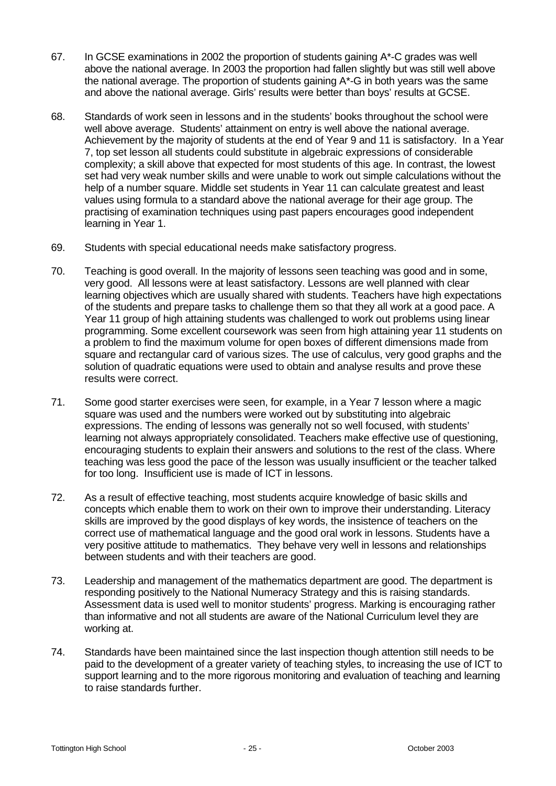- 67. In GCSE examinations in 2002 the proportion of students gaining A\*-C grades was well above the national average. In 2003 the proportion had fallen slightly but was still well above the national average. The proportion of students gaining A\*-G in both years was the same and above the national average. Girls' results were better than boys' results at GCSE.
- 68. Standards of work seen in lessons and in the students' books throughout the school were well above average. Students' attainment on entry is well above the national average. Achievement by the majority of students at the end of Year 9 and 11 is satisfactory. In a Year 7, top set lesson all students could substitute in algebraic expressions of considerable complexity; a skill above that expected for most students of this age. In contrast, the lowest set had very weak number skills and were unable to work out simple calculations without the help of a number square. Middle set students in Year 11 can calculate greatest and least values using formula to a standard above the national average for their age group. The practising of examination techniques using past papers encourages good independent learning in Year 1.
- 69. Students with special educational needs make satisfactory progress.
- 70. Teaching is good overall. In the majority of lessons seen teaching was good and in some, very good. All lessons were at least satisfactory. Lessons are well planned with clear learning objectives which are usually shared with students. Teachers have high expectations of the students and prepare tasks to challenge them so that they all work at a good pace. A Year 11 group of high attaining students was challenged to work out problems using linear programming. Some excellent coursework was seen from high attaining year 11 students on a problem to find the maximum volume for open boxes of different dimensions made from square and rectangular card of various sizes. The use of calculus, very good graphs and the solution of quadratic equations were used to obtain and analyse results and prove these results were correct.
- 71. Some good starter exercises were seen, for example, in a Year 7 lesson where a magic square was used and the numbers were worked out by substituting into algebraic expressions. The ending of lessons was generally not so well focused, with students' learning not always appropriately consolidated. Teachers make effective use of questioning, encouraging students to explain their answers and solutions to the rest of the class. Where teaching was less good the pace of the lesson was usually insufficient or the teacher talked for too long. Insufficient use is made of ICT in lessons.
- 72. As a result of effective teaching, most students acquire knowledge of basic skills and concepts which enable them to work on their own to improve their understanding. Literacy skills are improved by the good displays of key words, the insistence of teachers on the correct use of mathematical language and the good oral work in lessons. Students have a very positive attitude to mathematics. They behave very well in lessons and relationships between students and with their teachers are good.
- 73. Leadership and management of the mathematics department are good. The department is responding positively to the National Numeracy Strategy and this is raising standards. Assessment data is used well to monitor students' progress. Marking is encouraging rather than informative and not all students are aware of the National Curriculum level they are working at.
- 74. Standards have been maintained since the last inspection though attention still needs to be paid to the development of a greater variety of teaching styles, to increasing the use of ICT to support learning and to the more rigorous monitoring and evaluation of teaching and learning to raise standards further.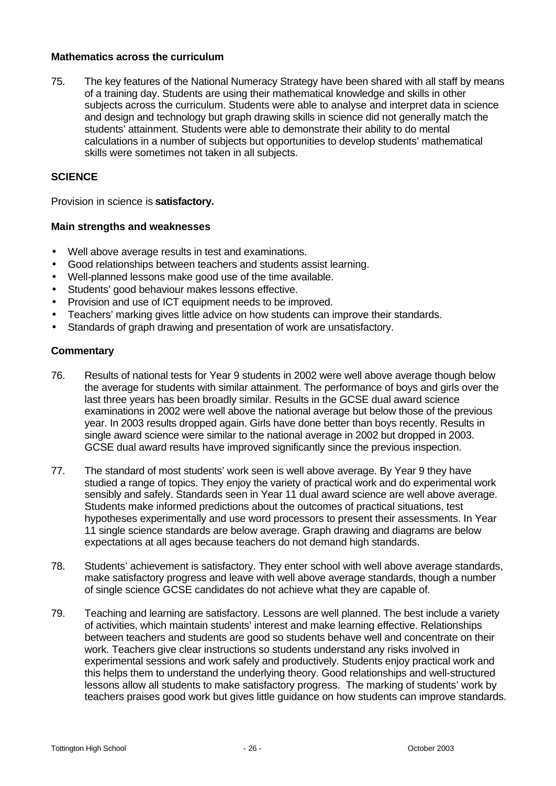#### **Mathematics across the curriculum**

75. The key features of the National Numeracy Strategy have been shared with all staff by means of a training day. Students are using their mathematical knowledge and skills in other subjects across the curriculum. Students were able to analyse and interpret data in science and design and technology but graph drawing skills in science did not generally match the students' attainment. Students were able to demonstrate their ability to do mental calculations in a number of subjects but opportunities to develop students' mathematical skills were sometimes not taken in all subjects.

### **SCIENCE**

Provision in science is **satisfactory.**

#### **Main strengths and weaknesses**

- Well above average results in test and examinations.
- Good relationships between teachers and students assist learning.
- Well-planned lessons make good use of the time available.
- Students' good behaviour makes lessons effective.
- Provision and use of ICT equipment needs to be improved.
- Teachers' marking gives little advice on how students can improve their standards.
- Standards of graph drawing and presentation of work are unsatisfactory.

- 76. Results of national tests for Year 9 students in 2002 were well above average though below the average for students with similar attainment. The performance of boys and girls over the last three years has been broadly similar. Results in the GCSE dual award science examinations in 2002 were well above the national average but below those of the previous year. In 2003 results dropped again. Girls have done better than boys recently. Results in single award science were similar to the national average in 2002 but dropped in 2003. GCSE dual award results have improved significantly since the previous inspection.
- 77. The standard of most students' work seen is well above average. By Year 9 they have studied a range of topics. They enjoy the variety of practical work and do experimental work sensibly and safely. Standards seen in Year 11 dual award science are well above average. Students make informed predictions about the outcomes of practical situations, test hypotheses experimentally and use word processors to present their assessments. In Year 11 single science standards are below average. Graph drawing and diagrams are below expectations at all ages because teachers do not demand high standards.
- 78. Students' achievement is satisfactory. They enter school with well above average standards, make satisfactory progress and leave with well above average standards, though a number of single science GCSE candidates do not achieve what they are capable of.
- 79. Teaching and learning are satisfactory. Lessons are well planned. The best include a variety of activities, which maintain students' interest and make learning effective. Relationships between teachers and students are good so students behave well and concentrate on their work. Teachers give clear instructions so students understand any risks involved in experimental sessions and work safely and productively. Students enjoy practical work and this helps them to understand the underlying theory. Good relationships and well-structured lessons allow all students to make satisfactory progress. The marking of students' work by teachers praises good work but gives little guidance on how students can improve standards.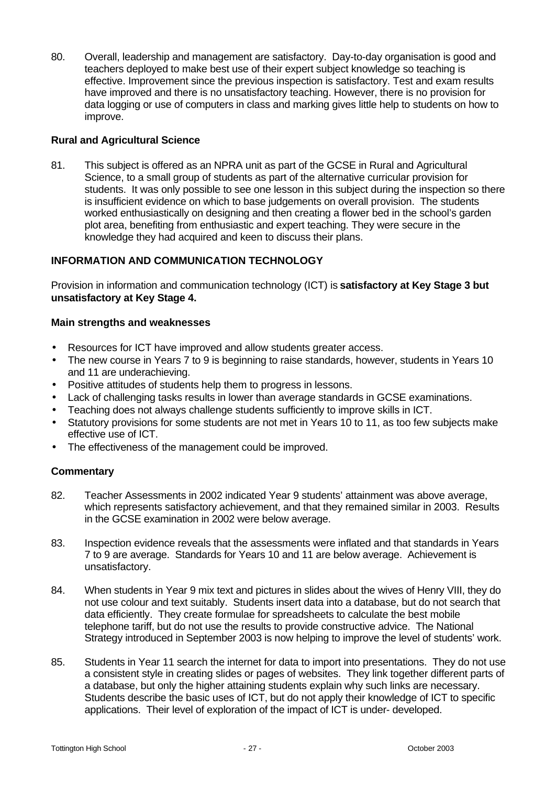80. Overall, leadership and management are satisfactory. Day-to-day organisation is good and teachers deployed to make best use of their expert subject knowledge so teaching is effective. Improvement since the previous inspection is satisfactory. Test and exam results have improved and there is no unsatisfactory teaching. However, there is no provision for data logging or use of computers in class and marking gives little help to students on how to improve.

### **Rural and Agricultural Science**

81. This subject is offered as an NPRA unit as part of the GCSE in Rural and Agricultural Science, to a small group of students as part of the alternative curricular provision for students. It was only possible to see one lesson in this subject during the inspection so there is insufficient evidence on which to base judgements on overall provision. The students worked enthusiastically on designing and then creating a flower bed in the school's garden plot area, benefiting from enthusiastic and expert teaching. They were secure in the knowledge they had acquired and keen to discuss their plans.

# **INFORMATION AND COMMUNICATION TECHNOLOGY**

Provision in information and communication technology (ICT) is **satisfactory at Key Stage 3 but unsatisfactory at Key Stage 4.**

# **Main strengths and weaknesses**

- Resources for ICT have improved and allow students greater access.
- The new course in Years 7 to 9 is beginning to raise standards, however, students in Years 10 and 11 are underachieving.
- Positive attitudes of students help them to progress in lessons.
- Lack of challenging tasks results in lower than average standards in GCSE examinations.
- Teaching does not always challenge students sufficiently to improve skills in ICT.
- Statutory provisions for some students are not met in Years 10 to 11, as too few subjects make effective use of ICT.
- The effectiveness of the management could be improved.

- 82. Teacher Assessments in 2002 indicated Year 9 students' attainment was above average, which represents satisfactory achievement, and that they remained similar in 2003. Results in the GCSE examination in 2002 were below average.
- 83. Inspection evidence reveals that the assessments were inflated and that standards in Years 7 to 9 are average. Standards for Years 10 and 11 are below average. Achievement is unsatisfactory.
- 84. When students in Year 9 mix text and pictures in slides about the wives of Henry VIII, they do not use colour and text suitably. Students insert data into a database, but do not search that data efficiently. They create formulae for spreadsheets to calculate the best mobile telephone tariff, but do not use the results to provide constructive advice. The National Strategy introduced in September 2003 is now helping to improve the level of students' work.
- 85. Students in Year 11 search the internet for data to import into presentations. They do not use a consistent style in creating slides or pages of websites. They link together different parts of a database, but only the higher attaining students explain why such links are necessary. Students describe the basic uses of ICT, but do not apply their knowledge of ICT to specific applications. Their level of exploration of the impact of ICT is under- developed.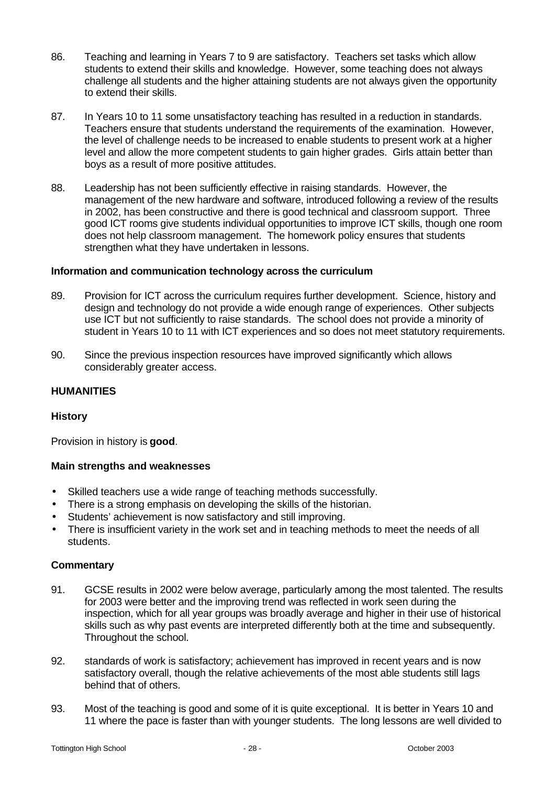- 86. Teaching and learning in Years 7 to 9 are satisfactory. Teachers set tasks which allow students to extend their skills and knowledge. However, some teaching does not always challenge all students and the higher attaining students are not always given the opportunity to extend their skills.
- 87. In Years 10 to 11 some unsatisfactory teaching has resulted in a reduction in standards. Teachers ensure that students understand the requirements of the examination. However, the level of challenge needs to be increased to enable students to present work at a higher level and allow the more competent students to gain higher grades. Girls attain better than boys as a result of more positive attitudes.
- 88. Leadership has not been sufficiently effective in raising standards. However, the management of the new hardware and software, introduced following a review of the results in 2002, has been constructive and there is good technical and classroom support. Three good ICT rooms give students individual opportunities to improve ICT skills, though one room does not help classroom management. The homework policy ensures that students strengthen what they have undertaken in lessons.

# **Information and communication technology across the curriculum**

- 89. Provision for ICT across the curriculum requires further development. Science, history and design and technology do not provide a wide enough range of experiences. Other subjects use ICT but not sufficiently to raise standards. The school does not provide a minority of student in Years 10 to 11 with ICT experiences and so does not meet statutory requirements.
- 90. Since the previous inspection resources have improved significantly which allows considerably greater access.

# **HUMANITIES**

#### **History**

Provision in history is **good**.

#### **Main strengths and weaknesses**

- Skilled teachers use a wide range of teaching methods successfully.
- There is a strong emphasis on developing the skills of the historian.
- Students' achievement is now satisfactory and still improving.
- There is insufficient variety in the work set and in teaching methods to meet the needs of all students.

- 91. GCSE results in 2002 were below average, particularly among the most talented. The results for 2003 were better and the improving trend was reflected in work seen during the inspection, which for all year groups was broadly average and higher in their use of historical skills such as why past events are interpreted differently both at the time and subsequently. Throughout the school.
- 92. standards of work is satisfactory; achievement has improved in recent years and is now satisfactory overall, though the relative achievements of the most able students still lags behind that of others.
- 93. Most of the teaching is good and some of it is quite exceptional. It is better in Years 10 and 11 where the pace is faster than with younger students. The long lessons are well divided to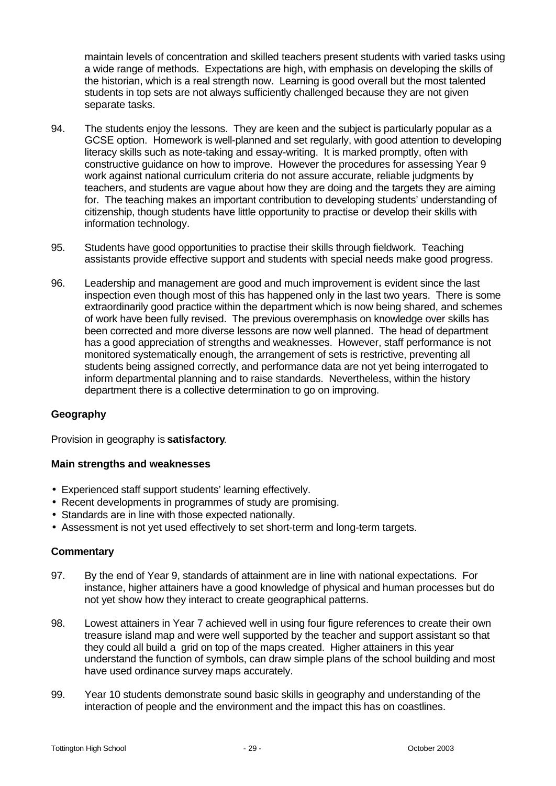maintain levels of concentration and skilled teachers present students with varied tasks using a wide range of methods. Expectations are high, with emphasis on developing the skills of the historian, which is a real strength now. Learning is good overall but the most talented students in top sets are not always sufficiently challenged because they are not given separate tasks.

- 94. The students enjoy the lessons. They are keen and the subject is particularly popular as a GCSE option. Homework is well-planned and set regularly, with good attention to developing literacy skills such as note-taking and essay-writing. It is marked promptly, often with constructive guidance on how to improve. However the procedures for assessing Year 9 work against national curriculum criteria do not assure accurate, reliable judgments by teachers, and students are vague about how they are doing and the targets they are aiming for. The teaching makes an important contribution to developing students' understanding of citizenship, though students have little opportunity to practise or develop their skills with information technology.
- 95. Students have good opportunities to practise their skills through fieldwork. Teaching assistants provide effective support and students with special needs make good progress.
- 96. Leadership and management are good and much improvement is evident since the last inspection even though most of this has happened only in the last two years. There is some extraordinarily good practice within the department which is now being shared, and schemes of work have been fully revised. The previous overemphasis on knowledge over skills has been corrected and more diverse lessons are now well planned. The head of department has a good appreciation of strengths and weaknesses. However, staff performance is not monitored systematically enough, the arrangement of sets is restrictive, preventing all students being assigned correctly, and performance data are not yet being interrogated to inform departmental planning and to raise standards. Nevertheless, within the history department there is a collective determination to go on improving.

#### **Geography**

Provision in geography is **satisfactory**.

#### **Main strengths and weaknesses**

- Experienced staff support students' learning effectively.
- Recent developments in programmes of study are promising.
- Standards are in line with those expected nationally.
- Assessment is not yet used effectively to set short-term and long-term targets.

- 97. By the end of Year 9, standards of attainment are in line with national expectations. For instance, higher attainers have a good knowledge of physical and human processes but do not yet show how they interact to create geographical patterns.
- 98. Lowest attainers in Year 7 achieved well in using four figure references to create their own treasure island map and were well supported by the teacher and support assistant so that they could all build a grid on top of the maps created. Higher attainers in this year understand the function of symbols, can draw simple plans of the school building and most have used ordinance survey maps accurately.
- 99. Year 10 students demonstrate sound basic skills in geography and understanding of the interaction of people and the environment and the impact this has on coastlines.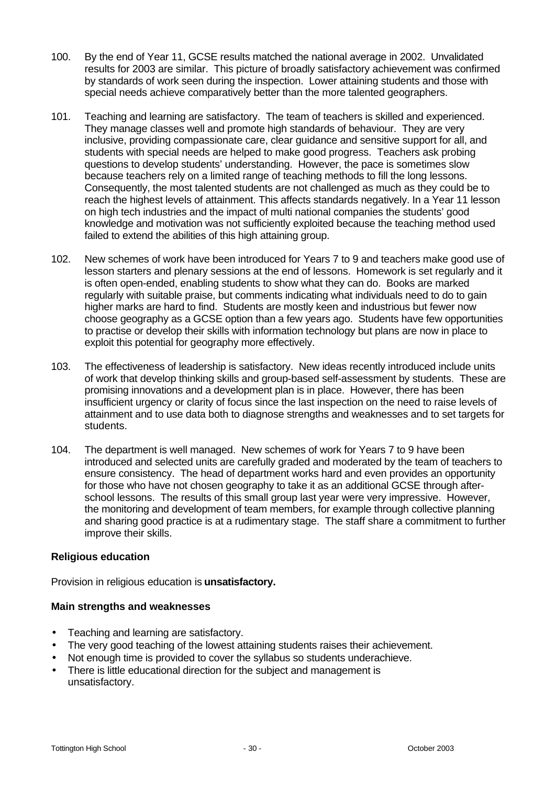- 100. By the end of Year 11, GCSE results matched the national average in 2002. Unvalidated results for 2003 are similar. This picture of broadly satisfactory achievement was confirmed by standards of work seen during the inspection. Lower attaining students and those with special needs achieve comparatively better than the more talented geographers.
- 101. Teaching and learning are satisfactory. The team of teachers is skilled and experienced. They manage classes well and promote high standards of behaviour. They are very inclusive, providing compassionate care, clear guidance and sensitive support for all, and students with special needs are helped to make good progress. Teachers ask probing questions to develop students' understanding. However, the pace is sometimes slow because teachers rely on a limited range of teaching methods to fill the long lessons. Consequently, the most talented students are not challenged as much as they could be to reach the highest levels of attainment. This affects standards negatively. In a Year 11 lesson on high tech industries and the impact of multi national companies the students' good knowledge and motivation was not sufficiently exploited because the teaching method used failed to extend the abilities of this high attaining group.
- 102. New schemes of work have been introduced for Years 7 to 9 and teachers make good use of lesson starters and plenary sessions at the end of lessons. Homework is set regularly and it is often open-ended, enabling students to show what they can do. Books are marked regularly with suitable praise, but comments indicating what individuals need to do to gain higher marks are hard to find. Students are mostly keen and industrious but fewer now choose geography as a GCSE option than a few years ago. Students have few opportunities to practise or develop their skills with information technology but plans are now in place to exploit this potential for geography more effectively.
- 103. The effectiveness of leadership is satisfactory. New ideas recently introduced include units of work that develop thinking skills and group-based self-assessment by students. These are promising innovations and a development plan is in place. However, there has been insufficient urgency or clarity of focus since the last inspection on the need to raise levels of attainment and to use data both to diagnose strengths and weaknesses and to set targets for students.
- 104. The department is well managed. New schemes of work for Years 7 to 9 have been introduced and selected units are carefully graded and moderated by the team of teachers to ensure consistency. The head of department works hard and even provides an opportunity for those who have not chosen geography to take it as an additional GCSE through afterschool lessons. The results of this small group last year were very impressive. However, the monitoring and development of team members, for example through collective planning and sharing good practice is at a rudimentary stage. The staff share a commitment to further improve their skills.

#### **Religious education**

Provision in religious education is **unsatisfactory.**

- Teaching and learning are satisfactory.
- The very good teaching of the lowest attaining students raises their achievement.
- Not enough time is provided to cover the syllabus so students underachieve.
- There is little educational direction for the subject and management is unsatisfactory.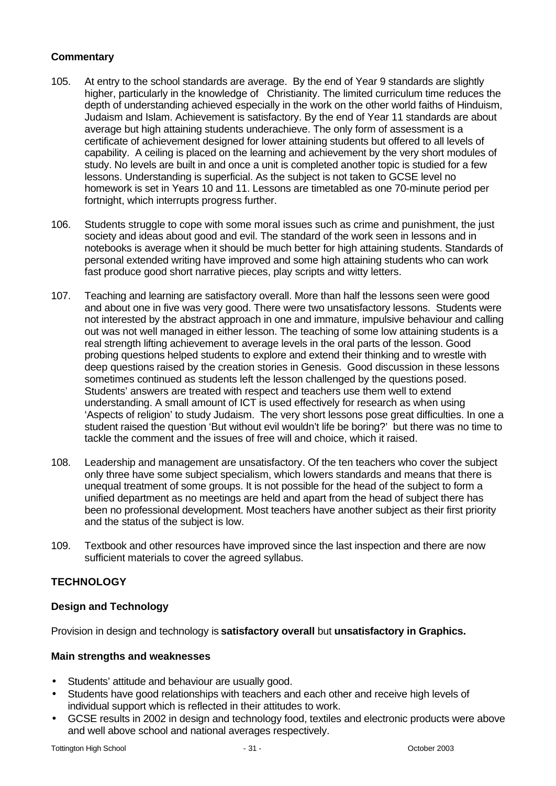# **Commentary**

- 105. At entry to the school standards are average. By the end of Year 9 standards are slightly higher, particularly in the knowledge of Christianity. The limited curriculum time reduces the depth of understanding achieved especially in the work on the other world faiths of Hinduism, Judaism and Islam. Achievement is satisfactory. By the end of Year 11 standards are about average but high attaining students underachieve. The only form of assessment is a certificate of achievement designed for lower attaining students but offered to all levels of capability. A ceiling is placed on the learning and achievement by the very short modules of study. No levels are built in and once a unit is completed another topic is studied for a few lessons. Understanding is superficial. As the subject is not taken to GCSE level no homework is set in Years 10 and 11. Lessons are timetabled as one 70-minute period per fortnight, which interrupts progress further.
- 106. Students struggle to cope with some moral issues such as crime and punishment, the just society and ideas about good and evil. The standard of the work seen in lessons and in notebooks is average when it should be much better for high attaining students. Standards of personal extended writing have improved and some high attaining students who can work fast produce good short narrative pieces, play scripts and witty letters.
- 107. Teaching and learning are satisfactory overall. More than half the lessons seen were good and about one in five was very good. There were two unsatisfactory lessons. Students were not interested by the abstract approach in one and immature, impulsive behaviour and calling out was not well managed in either lesson. The teaching of some low attaining students is a real strength lifting achievement to average levels in the oral parts of the lesson. Good probing questions helped students to explore and extend their thinking and to wrestle with deep questions raised by the creation stories in Genesis. Good discussion in these lessons sometimes continued as students left the lesson challenged by the questions posed. Students' answers are treated with respect and teachers use them well to extend understanding. A small amount of ICT is used effectively for research as when using 'Aspects of religion' to study Judaism. The very short lessons pose great difficulties. In one a student raised the question 'But without evil wouldn't life be boring?' but there was no time to tackle the comment and the issues of free will and choice, which it raised.
- 108. Leadership and management are unsatisfactory. Of the ten teachers who cover the subject only three have some subject specialism, which lowers standards and means that there is unequal treatment of some groups. It is not possible for the head of the subject to form a unified department as no meetings are held and apart from the head of subject there has been no professional development. Most teachers have another subject as their first priority and the status of the subject is low.
- 109. Textbook and other resources have improved since the last inspection and there are now sufficient materials to cover the agreed syllabus.

# **TECHNOLOGY**

# **Design and Technology**

Provision in design and technology is **satisfactory overall** but **unsatisfactory in Graphics.**

- Students' attitude and behaviour are usually good.
- Students have good relationships with teachers and each other and receive high levels of individual support which is reflected in their attitudes to work.
- GCSE results in 2002 in design and technology food, textiles and electronic products were above and well above school and national averages respectively.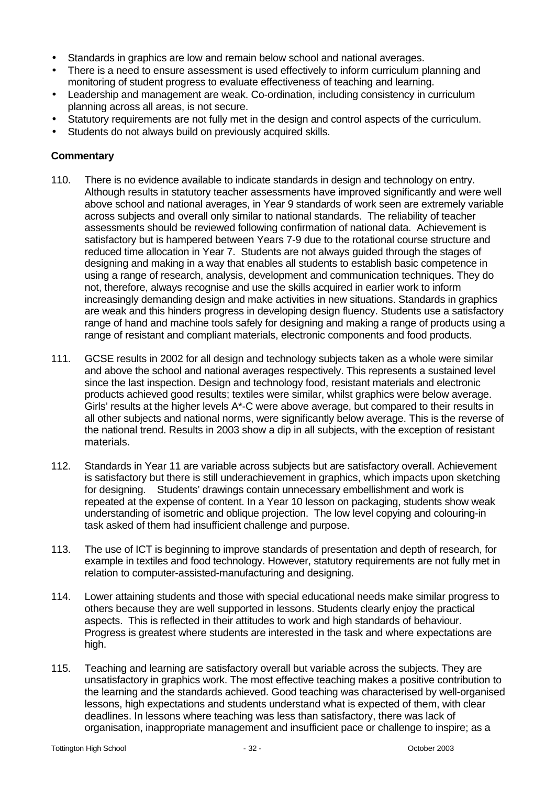- Standards in graphics are low and remain below school and national averages.
- There is a need to ensure assessment is used effectively to inform curriculum planning and monitoring of student progress to evaluate effectiveness of teaching and learning.
- Leadership and management are weak. Co-ordination, including consistency in curriculum planning across all areas, is not secure.
- Statutory requirements are not fully met in the design and control aspects of the curriculum.
- Students do not always build on previously acquired skills.

- 110. There is no evidence available to indicate standards in design and technology on entry. Although results in statutory teacher assessments have improved significantly and were well above school and national averages, in Year 9 standards of work seen are extremely variable across subjects and overall only similar to national standards. The reliability of teacher assessments should be reviewed following confirmation of national data. Achievement is satisfactory but is hampered between Years 7-9 due to the rotational course structure and reduced time allocation in Year 7. Students are not always guided through the stages of designing and making in a way that enables all students to establish basic competence in using a range of research, analysis, development and communication techniques. They do not, therefore, always recognise and use the skills acquired in earlier work to inform increasingly demanding design and make activities in new situations. Standards in graphics are weak and this hinders progress in developing design fluency. Students use a satisfactory range of hand and machine tools safely for designing and making a range of products using a range of resistant and compliant materials, electronic components and food products.
- 111. GCSE results in 2002 for all design and technology subjects taken as a whole were similar and above the school and national averages respectively. This represents a sustained level since the last inspection. Design and technology food, resistant materials and electronic products achieved good results; textiles were similar, whilst graphics were below average. Girls' results at the higher levels A\*-C were above average, but compared to their results in all other subjects and national norms, were significantly below average. This is the reverse of the national trend. Results in 2003 show a dip in all subjects, with the exception of resistant materials.
- 112. Standards in Year 11 are variable across subjects but are satisfactory overall. Achievement is satisfactory but there is still underachievement in graphics, which impacts upon sketching for designing. Students' drawings contain unnecessary embellishment and work is repeated at the expense of content. In a Year 10 lesson on packaging, students show weak understanding of isometric and oblique projection. The low level copying and colouring-in task asked of them had insufficient challenge and purpose.
- 113. The use of ICT is beginning to improve standards of presentation and depth of research, for example in textiles and food technology. However, statutory requirements are not fully met in relation to computer-assisted-manufacturing and designing.
- 114. Lower attaining students and those with special educational needs make similar progress to others because they are well supported in lessons. Students clearly enjoy the practical aspects. This is reflected in their attitudes to work and high standards of behaviour. Progress is greatest where students are interested in the task and where expectations are high.
- 115. Teaching and learning are satisfactory overall but variable across the subjects. They are unsatisfactory in graphics work. The most effective teaching makes a positive contribution to the learning and the standards achieved. Good teaching was characterised by well-organised lessons, high expectations and students understand what is expected of them, with clear deadlines. In lessons where teaching was less than satisfactory, there was lack of organisation, inappropriate management and insufficient pace or challenge to inspire; as a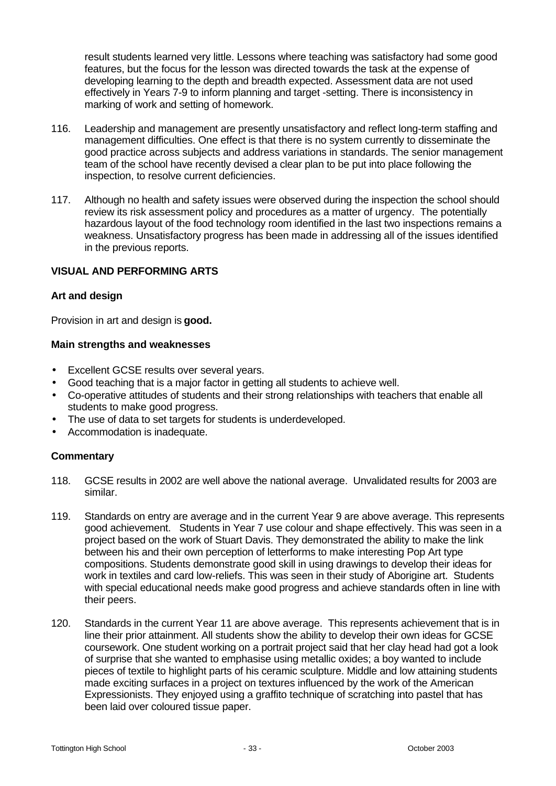result students learned very little. Lessons where teaching was satisfactory had some good features, but the focus for the lesson was directed towards the task at the expense of developing learning to the depth and breadth expected. Assessment data are not used effectively in Years 7-9 to inform planning and target -setting. There is inconsistency in marking of work and setting of homework.

- 116. Leadership and management are presently unsatisfactory and reflect long-term staffing and management difficulties. One effect is that there is no system currently to disseminate the good practice across subjects and address variations in standards. The senior management team of the school have recently devised a clear plan to be put into place following the inspection, to resolve current deficiencies.
- 117. Although no health and safety issues were observed during the inspection the school should review its risk assessment policy and procedures as a matter of urgency. The potentially hazardous layout of the food technology room identified in the last two inspections remains a weakness. Unsatisfactory progress has been made in addressing all of the issues identified in the previous reports.

#### **VISUAL AND PERFORMING ARTS**

#### **Art and design**

Provision in art and design is **good.**

#### **Main strengths and weaknesses**

- Excellent GCSE results over several years.
- Good teaching that is a major factor in getting all students to achieve well.
- Co-operative attitudes of students and their strong relationships with teachers that enable all students to make good progress.
- The use of data to set targets for students is underdeveloped.
- Accommodation is inadequate.

- 118. GCSE results in 2002 are well above the national average. Unvalidated results for 2003 are similar.
- 119. Standards on entry are average and in the current Year 9 are above average. This represents good achievement. Students in Year 7 use colour and shape effectively. This was seen in a project based on the work of Stuart Davis. They demonstrated the ability to make the link between his and their own perception of letterforms to make interesting Pop Art type compositions. Students demonstrate good skill in using drawings to develop their ideas for work in textiles and card low-reliefs. This was seen in their study of Aborigine art. Students with special educational needs make good progress and achieve standards often in line with their peers.
- 120. Standards in the current Year 11 are above average. This represents achievement that is in line their prior attainment. All students show the ability to develop their own ideas for GCSE coursework. One student working on a portrait project said that her clay head had got a look of surprise that she wanted to emphasise using metallic oxides; a boy wanted to include pieces of textile to highlight parts of his ceramic sculpture. Middle and low attaining students made exciting surfaces in a project on textures influenced by the work of the American Expressionists. They enjoyed using a graffito technique of scratching into pastel that has been laid over coloured tissue paper.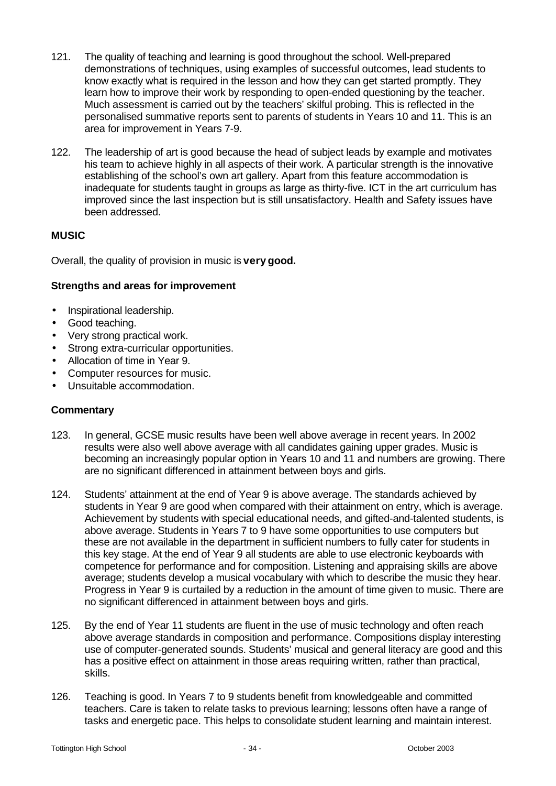- 121. The quality of teaching and learning is good throughout the school. Well-prepared demonstrations of techniques, using examples of successful outcomes, lead students to know exactly what is required in the lesson and how they can get started promptly. They learn how to improve their work by responding to open-ended questioning by the teacher. Much assessment is carried out by the teachers' skilful probing. This is reflected in the personalised summative reports sent to parents of students in Years 10 and 11. This is an area for improvement in Years 7-9.
- 122. The leadership of art is good because the head of subject leads by example and motivates his team to achieve highly in all aspects of their work. A particular strength is the innovative establishing of the school's own art gallery. Apart from this feature accommodation is inadequate for students taught in groups as large as thirty-five. ICT in the art curriculum has improved since the last inspection but is still unsatisfactory. Health and Safety issues have been addressed.

# **MUSIC**

Overall, the quality of provision in music is **very good.**

#### **Strengths and areas for improvement**

- Inspirational leadership.
- Good teaching.
- Very strong practical work.
- Strong extra-curricular opportunities.
- Allocation of time in Year 9.
- Computer resources for music.
- Unsuitable accommodation.

- 123. In general, GCSE music results have been well above average in recent years. In 2002 results were also well above average with all candidates gaining upper grades. Music is becoming an increasingly popular option in Years 10 and 11 and numbers are growing. There are no significant differenced in attainment between boys and girls.
- 124. Students' attainment at the end of Year 9 is above average. The standards achieved by students in Year 9 are good when compared with their attainment on entry, which is average. Achievement by students with special educational needs, and gifted-and-talented students, is above average. Students in Years 7 to 9 have some opportunities to use computers but these are not available in the department in sufficient numbers to fully cater for students in this key stage. At the end of Year 9 all students are able to use electronic keyboards with competence for performance and for composition. Listening and appraising skills are above average; students develop a musical vocabulary with which to describe the music they hear. Progress in Year 9 is curtailed by a reduction in the amount of time given to music. There are no significant differenced in attainment between boys and girls.
- 125. By the end of Year 11 students are fluent in the use of music technology and often reach above average standards in composition and performance. Compositions display interesting use of computer-generated sounds. Students' musical and general literacy are good and this has a positive effect on attainment in those areas requiring written, rather than practical, skills.
- 126. Teaching is good. In Years 7 to 9 students benefit from knowledgeable and committed teachers. Care is taken to relate tasks to previous learning; lessons often have a range of tasks and energetic pace. This helps to consolidate student learning and maintain interest.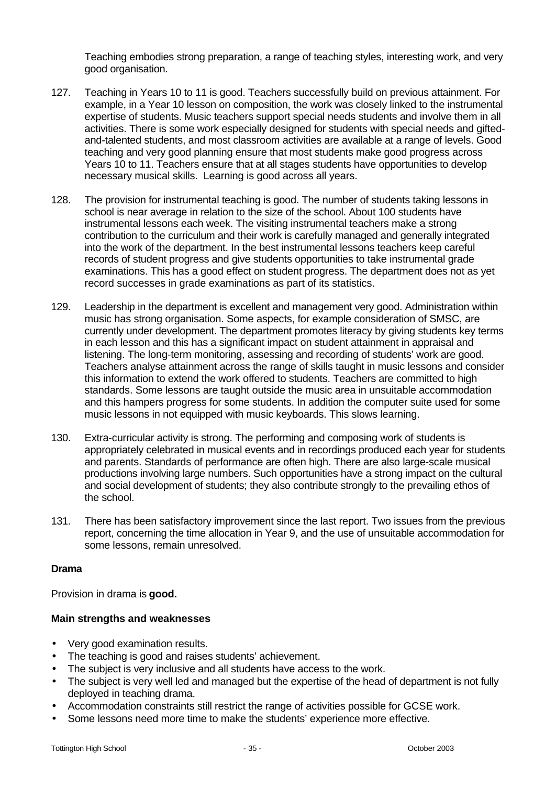Teaching embodies strong preparation, a range of teaching styles, interesting work, and very good organisation.

- 127. Teaching in Years 10 to 11 is good. Teachers successfully build on previous attainment. For example, in a Year 10 lesson on composition, the work was closely linked to the instrumental expertise of students. Music teachers support special needs students and involve them in all activities. There is some work especially designed for students with special needs and giftedand-talented students, and most classroom activities are available at a range of levels. Good teaching and very good planning ensure that most students make good progress across Years 10 to 11. Teachers ensure that at all stages students have opportunities to develop necessary musical skills. Learning is good across all years.
- 128. The provision for instrumental teaching is good. The number of students taking lessons in school is near average in relation to the size of the school. About 100 students have instrumental lessons each week. The visiting instrumental teachers make a strong contribution to the curriculum and their work is carefully managed and generally integrated into the work of the department. In the best instrumental lessons teachers keep careful records of student progress and give students opportunities to take instrumental grade examinations. This has a good effect on student progress. The department does not as yet record successes in grade examinations as part of its statistics.
- 129. Leadership in the department is excellent and management very good. Administration within music has strong organisation. Some aspects, for example consideration of SMSC, are currently under development. The department promotes literacy by giving students key terms in each lesson and this has a significant impact on student attainment in appraisal and listening. The long-term monitoring, assessing and recording of students' work are good. Teachers analyse attainment across the range of skills taught in music lessons and consider this information to extend the work offered to students. Teachers are committed to high standards. Some lessons are taught outside the music area in unsuitable accommodation and this hampers progress for some students. In addition the computer suite used for some music lessons in not equipped with music keyboards. This slows learning.
- 130. Extra-curricular activity is strong. The performing and composing work of students is appropriately celebrated in musical events and in recordings produced each year for students and parents. Standards of performance are often high. There are also large-scale musical productions involving large numbers. Such opportunities have a strong impact on the cultural and social development of students; they also contribute strongly to the prevailing ethos of the school.
- 131. There has been satisfactory improvement since the last report. Two issues from the previous report, concerning the time allocation in Year 9, and the use of unsuitable accommodation for some lessons, remain unresolved.

#### **Drama**

Provision in drama is **good.**

- Very good examination results.
- The teaching is good and raises students' achievement.
- The subject is very inclusive and all students have access to the work.
- The subject is very well led and managed but the expertise of the head of department is not fully deployed in teaching drama.
- Accommodation constraints still restrict the range of activities possible for GCSE work.
- Some lessons need more time to make the students' experience more effective.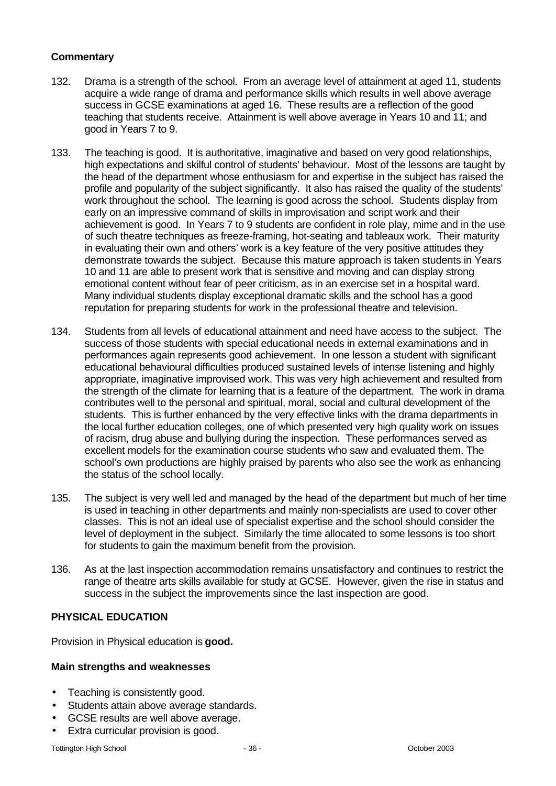# **Commentary**

- 132. Drama is a strength of the school. From an average level of attainment at aged 11, students acquire a wide range of drama and performance skills which results in well above average success in GCSE examinations at aged 16. These results are a reflection of the good teaching that students receive. Attainment is well above average in Years 10 and 11; and good in Years 7 to 9.
- 133. The teaching is good. It is authoritative, imaginative and based on very good relationships, high expectations and skilful control of students' behaviour. Most of the lessons are taught by the head of the department whose enthusiasm for and expertise in the subject has raised the profile and popularity of the subject significantly. It also has raised the quality of the students' work throughout the school. The learning is good across the school. Students display from early on an impressive command of skills in improvisation and script work and their achievement is good. In Years 7 to 9 students are confident in role play, mime and in the use of such theatre techniques as freeze-framing, hot-seating and tableaux work. Their maturity in evaluating their own and others' work is a key feature of the very positive attitudes they demonstrate towards the subject. Because this mature approach is taken students in Years 10 and 11 are able to present work that is sensitive and moving and can display strong emotional content without fear of peer criticism, as in an exercise set in a hospital ward. Many individual students display exceptional dramatic skills and the school has a good reputation for preparing students for work in the professional theatre and television.
- 134. Students from all levels of educational attainment and need have access to the subject. The success of those students with special educational needs in external examinations and in performances again represents good achievement. In one lesson a student with significant educational behavioural difficulties produced sustained levels of intense listening and highly appropriate, imaginative improvised work. This was very high achievement and resulted from the strength of the climate for learning that is a feature of the department. The work in drama contributes well to the personal and spiritual, moral, social and cultural development of the students. This is further enhanced by the very effective links with the drama departments in the local further education colleges, one of which presented very high quality work on issues of racism, drug abuse and bullying during the inspection. These performances served as excellent models for the examination course students who saw and evaluated them. The school's own productions are highly praised by parents who also see the work as enhancing the status of the school locally.
- 135. The subject is very well led and managed by the head of the department but much of her time is used in teaching in other departments and mainly non-specialists are used to cover other classes. This is not an ideal use of specialist expertise and the school should consider the level of deployment in the subject. Similarly the time allocated to some lessons is too short for students to gain the maximum benefit from the provision.
- 136. As at the last inspection accommodation remains unsatisfactory and continues to restrict the range of theatre arts skills available for study at GCSE. However, given the rise in status and success in the subject the improvements since the last inspection are good.

# **PHYSICAL EDUCATION**

Provision in Physical education is **good.**

- Teaching is consistently good.
- Students attain above average standards.
- GCSE results are well above average.
- Extra curricular provision is good.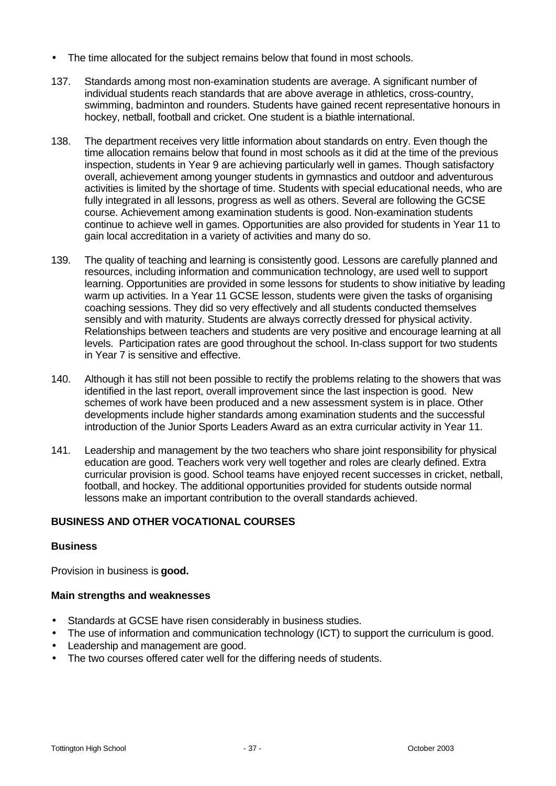- The time allocated for the subject remains below that found in most schools.
- 137. Standards among most non-examination students are average. A significant number of individual students reach standards that are above average in athletics, cross-country, swimming, badminton and rounders. Students have gained recent representative honours in hockey, netball, football and cricket. One student is a biathle international.
- 138. The department receives very little information about standards on entry. Even though the time allocation remains below that found in most schools as it did at the time of the previous inspection, students in Year 9 are achieving particularly well in games. Though satisfactory overall, achievement among younger students in gymnastics and outdoor and adventurous activities is limited by the shortage of time. Students with special educational needs, who are fully integrated in all lessons, progress as well as others. Several are following the GCSE course. Achievement among examination students is good. Non-examination students continue to achieve well in games. Opportunities are also provided for students in Year 11 to gain local accreditation in a variety of activities and many do so.
- 139. The quality of teaching and learning is consistently good. Lessons are carefully planned and resources, including information and communication technology, are used well to support learning. Opportunities are provided in some lessons for students to show initiative by leading warm up activities. In a Year 11 GCSE lesson, students were given the tasks of organising coaching sessions. They did so very effectively and all students conducted themselves sensibly and with maturity. Students are always correctly dressed for physical activity. Relationships between teachers and students are very positive and encourage learning at all levels. Participation rates are good throughout the school. In-class support for two students in Year 7 is sensitive and effective.
- 140. Although it has still not been possible to rectify the problems relating to the showers that was identified in the last report, overall improvement since the last inspection is good. New schemes of work have been produced and a new assessment system is in place. Other developments include higher standards among examination students and the successful introduction of the Junior Sports Leaders Award as an extra curricular activity in Year 11.
- 141. Leadership and management by the two teachers who share joint responsibility for physical education are good. Teachers work very well together and roles are clearly defined. Extra curricular provision is good. School teams have enjoyed recent successes in cricket, netball, football, and hockey. The additional opportunities provided for students outside normal lessons make an important contribution to the overall standards achieved.

# **BUSINESS AND OTHER VOCATIONAL COURSES**

#### **Business**

Provision in business is **good.**

- Standards at GCSE have risen considerably in business studies.
- The use of information and communication technology (ICT) to support the curriculum is good.
- Leadership and management are good.
- The two courses offered cater well for the differing needs of students.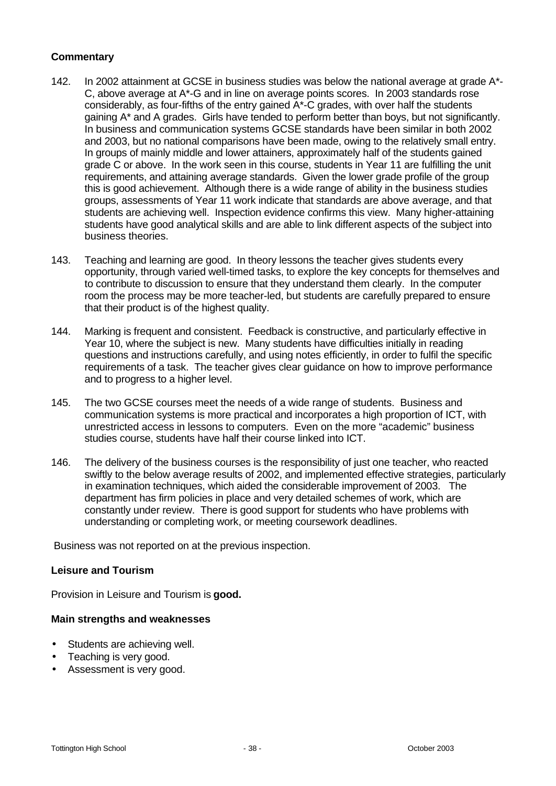### **Commentary**

- 142. In 2002 attainment at GCSE in business studies was below the national average at grade A\*- C, above average at A\*-G and in line on average points scores. In 2003 standards rose considerably, as four-fifths of the entry gained A\*-C grades, with over half the students gaining A\* and A grades. Girls have tended to perform better than boys, but not significantly. In business and communication systems GCSE standards have been similar in both 2002 and 2003, but no national comparisons have been made, owing to the relatively small entry. In groups of mainly middle and lower attainers, approximately half of the students gained grade C or above. In the work seen in this course, students in Year 11 are fulfilling the unit requirements, and attaining average standards. Given the lower grade profile of the group this is good achievement. Although there is a wide range of ability in the business studies groups, assessments of Year 11 work indicate that standards are above average, and that students are achieving well. Inspection evidence confirms this view. Many higher-attaining students have good analytical skills and are able to link different aspects of the subject into business theories.
- 143. Teaching and learning are good. In theory lessons the teacher gives students every opportunity, through varied well-timed tasks, to explore the key concepts for themselves and to contribute to discussion to ensure that they understand them clearly. In the computer room the process may be more teacher-led, but students are carefully prepared to ensure that their product is of the highest quality.
- 144. Marking is frequent and consistent. Feedback is constructive, and particularly effective in Year 10, where the subject is new. Many students have difficulties initially in reading questions and instructions carefully, and using notes efficiently, in order to fulfil the specific requirements of a task. The teacher gives clear guidance on how to improve performance and to progress to a higher level.
- 145. The two GCSE courses meet the needs of a wide range of students. Business and communication systems is more practical and incorporates a high proportion of ICT, with unrestricted access in lessons to computers. Even on the more "academic" business studies course, students have half their course linked into ICT.
- 146. The delivery of the business courses is the responsibility of just one teacher, who reacted swiftly to the below average results of 2002, and implemented effective strategies, particularly in examination techniques, which aided the considerable improvement of 2003. The department has firm policies in place and very detailed schemes of work, which are constantly under review. There is good support for students who have problems with understanding or completing work, or meeting coursework deadlines.

Business was not reported on at the previous inspection.

#### **Leisure and Tourism**

Provision in Leisure and Tourism is **good.**

- Students are achieving well.
- Teaching is very good.
- Assessment is very good.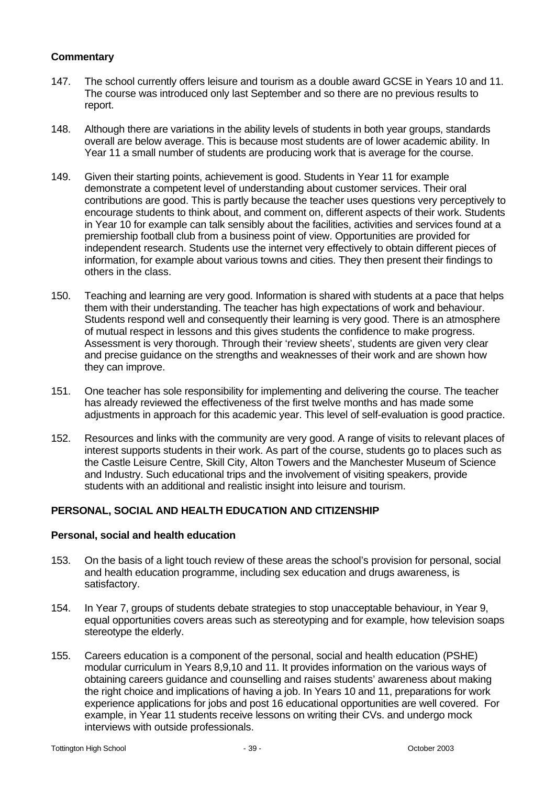# **Commentary**

- 147. The school currently offers leisure and tourism as a double award GCSE in Years 10 and 11. The course was introduced only last September and so there are no previous results to report.
- 148. Although there are variations in the ability levels of students in both year groups, standards overall are below average. This is because most students are of lower academic ability. In Year 11 a small number of students are producing work that is average for the course.
- 149. Given their starting points, achievement is good. Students in Year 11 for example demonstrate a competent level of understanding about customer services. Their oral contributions are good. This is partly because the teacher uses questions very perceptively to encourage students to think about, and comment on, different aspects of their work. Students in Year 10 for example can talk sensibly about the facilities, activities and services found at a premiership football club from a business point of view. Opportunities are provided for independent research. Students use the internet very effectively to obtain different pieces of information, for example about various towns and cities. They then present their findings to others in the class.
- 150. Teaching and learning are very good. Information is shared with students at a pace that helps them with their understanding. The teacher has high expectations of work and behaviour. Students respond well and consequently their learning is very good. There is an atmosphere of mutual respect in lessons and this gives students the confidence to make progress. Assessment is very thorough. Through their 'review sheets', students are given very clear and precise guidance on the strengths and weaknesses of their work and are shown how they can improve.
- 151. One teacher has sole responsibility for implementing and delivering the course. The teacher has already reviewed the effectiveness of the first twelve months and has made some adjustments in approach for this academic year. This level of self-evaluation is good practice.
- 152. Resources and links with the community are very good. A range of visits to relevant places of interest supports students in their work. As part of the course, students go to places such as the Castle Leisure Centre, Skill City, Alton Towers and the Manchester Museum of Science and Industry. Such educational trips and the involvement of visiting speakers, provide students with an additional and realistic insight into leisure and tourism.

# **PERSONAL, SOCIAL AND HEALTH EDUCATION AND CITIZENSHIP**

#### **Personal, social and health education**

- 153. On the basis of a light touch review of these areas the school's provision for personal, social and health education programme, including sex education and drugs awareness, is satisfactory.
- 154. In Year 7, groups of students debate strategies to stop unacceptable behaviour, in Year 9, equal opportunities covers areas such as stereotyping and for example, how television soaps stereotype the elderly.
- 155. Careers education is a component of the personal, social and health education (PSHE) modular curriculum in Years 8,9,10 and 11. It provides information on the various ways of obtaining careers guidance and counselling and raises students' awareness about making the right choice and implications of having a job. In Years 10 and 11, preparations for work experience applications for jobs and post 16 educational opportunities are well covered. For example, in Year 11 students receive lessons on writing their CVs. and undergo mock interviews with outside professionals.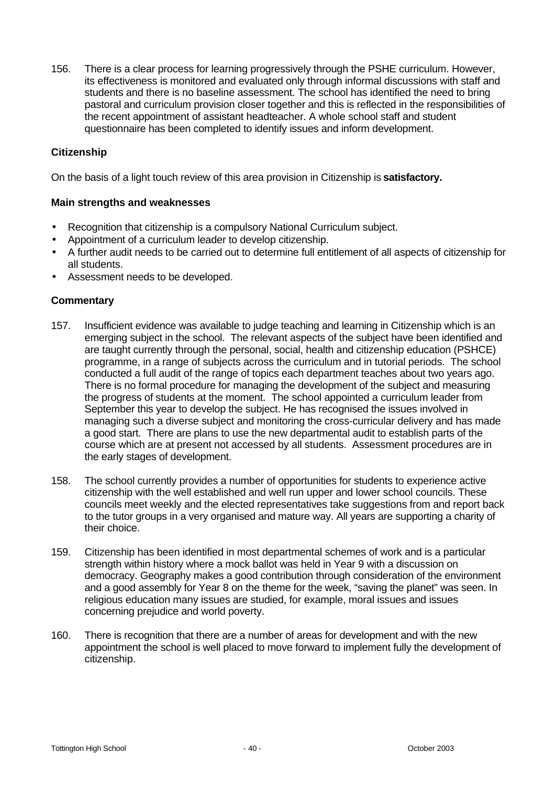156. There is a clear process for learning progressively through the PSHE curriculum. However, its effectiveness is monitored and evaluated only through informal discussions with staff and students and there is no baseline assessment. The school has identified the need to bring pastoral and curriculum provision closer together and this is reflected in the responsibilities of the recent appointment of assistant headteacher. A whole school staff and student questionnaire has been completed to identify issues and inform development.

# **Citizenship**

On the basis of a light touch review of this area provision in Citizenship is **satisfactory.**

#### **Main strengths and weaknesses**

- Recognition that citizenship is a compulsory National Curriculum subject.
- Appointment of a curriculum leader to develop citizenship.
- A further audit needs to be carried out to determine full entitlement of all aspects of citizenship for all students.
- Assessment needs to be developed.

- 157. Insufficient evidence was available to judge teaching and learning in Citizenship which is an emerging subject in the school. The relevant aspects of the subject have been identified and are taught currently through the personal, social, health and citizenship education (PSHCE) programme, in a range of subjects across the curriculum and in tutorial periods. The school conducted a full audit of the range of topics each department teaches about two years ago. There is no formal procedure for managing the development of the subject and measuring the progress of students at the moment. The school appointed a curriculum leader from September this year to develop the subject. He has recognised the issues involved in managing such a diverse subject and monitoring the cross-curricular delivery and has made a good start. There are plans to use the new departmental audit to establish parts of the course which are at present not accessed by all students. Assessment procedures are in the early stages of development.
- 158. The school currently provides a number of opportunities for students to experience active citizenship with the well established and well run upper and lower school councils. These councils meet weekly and the elected representatives take suggestions from and report back to the tutor groups in a very organised and mature way. All years are supporting a charity of their choice.
- 159. Citizenship has been identified in most departmental schemes of work and is a particular strength within history where a mock ballot was held in Year 9 with a discussion on democracy. Geography makes a good contribution through consideration of the environment and a good assembly for Year 8 on the theme for the week, "saving the planet" was seen. In religious education many issues are studied, for example, moral issues and issues concerning prejudice and world poverty.
- 160. There is recognition that there are a number of areas for development and with the new appointment the school is well placed to move forward to implement fully the development of citizenship.